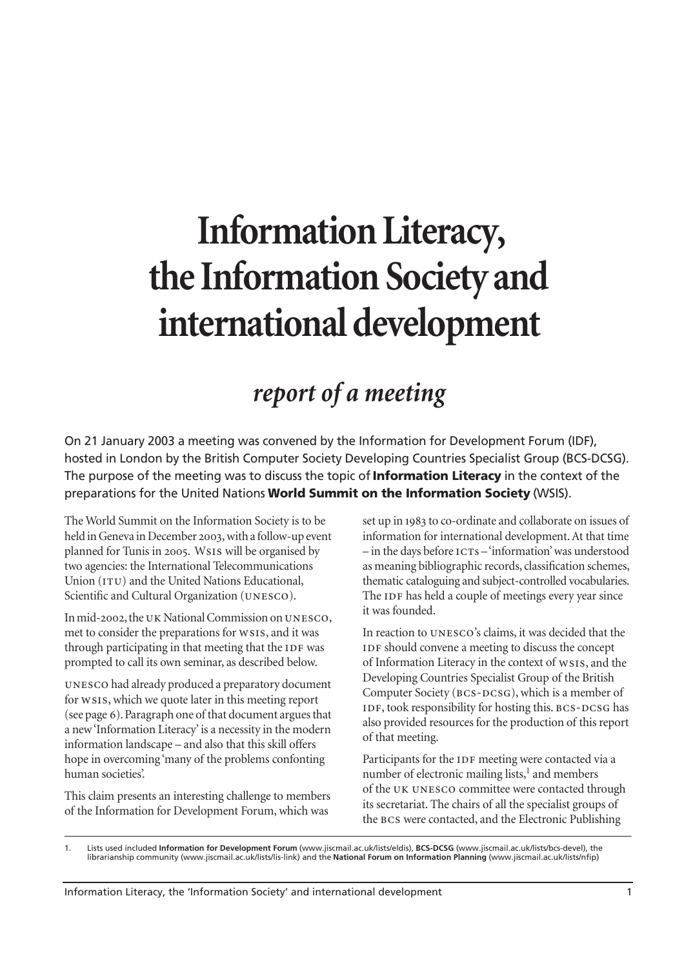# **Information Literacy, the Information Society and international development**

# *report of a meeting*

On 21 January 2003 a meeting was convened by the Information for Development Forum (IDF), hosted in London by the British Computer Society Developing Countries Specialist Group (BCS-DCSG). The purpose of the meeting was to discuss the topic of **Information Literacy** in the context of the preparations for the United Nations **World Summit on the Information Society** (WSIS).

The World Summit on the Information Society is to be held in Geneva in December 2003, with a follow-up event planned for Tunis in 2005. WSIS will be organised by two agencies: the International Telecommunications Union (ITU) and the United Nations Educational, Scientific and Cultural Organization (UNESCO).

In mid-2002, the UK National Commission on UNESCO, met to consider the preparations for WSIS, and it was through participating in that meeting that the IDF was prompted to call its own seminar, as described below.

UNESCO had already produced a preparatory document for WSIS, which we quote later in this meeting report (see [page](#page-5-0) 6). Paragraph one of that document argues that a new 'Information Literacy' is a necessity in the modern information landscape – and also that this skill offers hope in overcoming 'many of the problems confonting human societies'.

This claim presents an interesting challenge to members of the Information for Development Forum, which was

set up in 1983 to co-ordinate and collaborate on issues of information for international development. At that time  $-$  in the days before  $\text{ICTs}$  – 'information' was understood as meaning bibliographic records, classification schemes, thematic cataloguing and subject-controlled vocabularies. The IDF has held a couple of meetings every year since it was founded.

In reaction to UNESCO's claims, it was decided that the should convene a meeting to discuss the concept of Information Literacy in the context of ws1s, and the Developing Countries Specialist Group of the British Computer Society (BCS-DCSG), which is a member of IDF, took responsibility for hosting this. BCS-DCSG has also provided resources for the production of this report of that meeting.

Participants for the IDF meeting were contacted via a number of electronic mailing lists,<sup>1</sup> and members of the UK UNESCO committee were contacted through its secretariat. The chairs of all the specialist groups of the BCS were contacted, and the Electronic Publishing

<sup>1.</sup> Lists used included **Information for Development Forum** (www.jiscmail.ac.uk/lists/eldis), **BCS-DCSG** (www.jiscmail.ac.uk/lists/bcs-devel), the librarianship community (www.jiscmail.ac.uk/lists/lis-link) and the **National Forum on Information Planning** (www.jiscmail.ac.uk/lists/nfip)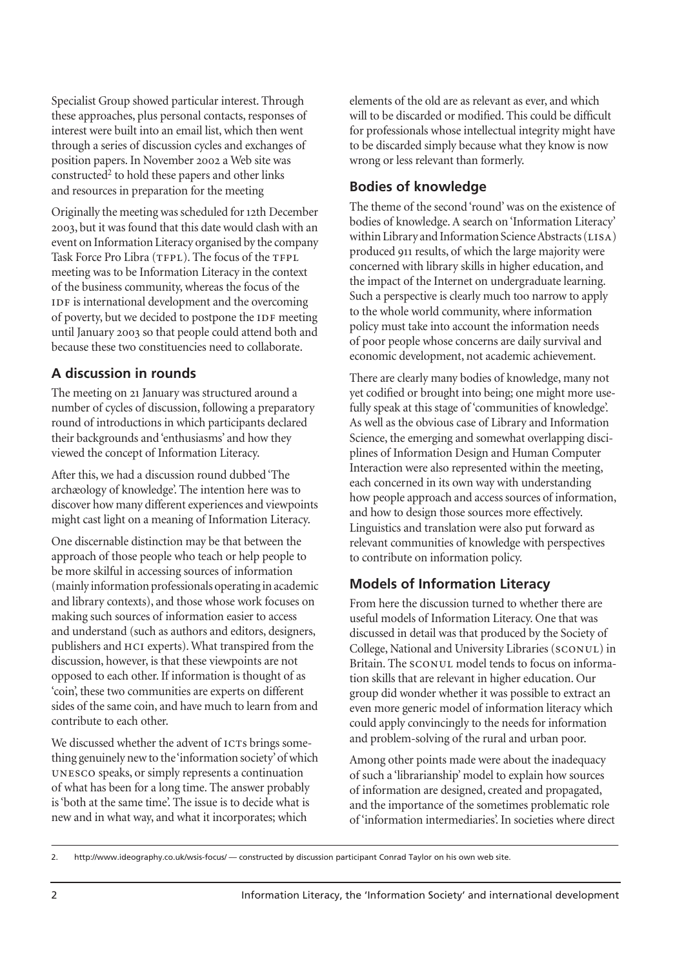Specialist Group showed particular interest. Through these approaches, plus personal contacts, responses of interest were built into an email list, which then went through a series of discussion cycles and exchanges of position papers. In November 2002 a Web site was constructed<sup>2</sup> to hold these papers and other links and resources in preparation for the meeting

Originally the meeting was scheduled for 12th December , but it was found that this date would clash with an event on Information Literacy organised by the company Task Force Pro Libra (TFPL). The focus of the TFPL meeting was to be Information Literacy in the context of the business community, whereas the focus of the IDF is international development and the overcoming of poverty, but we decided to postpone the IDF meeting until January 2003 so that people could attend both and because these two constituencies need to collaborate.

## **A discussion in rounds**

The meeting on 21 January was structured around a number of cycles of discussion, following a preparatory round of introductions in which participants declared their backgrounds and 'enthusiasms' and how they viewed the concept of Information Literacy.

After this, we had a discussion round dubbed 'The archæology of knowledge'. The intention here was to discover how many different experiences and viewpoints might cast light on a meaning of Information Literacy.

One discernable distinction may be that between the approach of those people who teach or help people to be more skilful in accessing sources of information (mainly information professionals operating in academic and library contexts), and those whose work focuses on making such sources of information easier to access and understand (such as authors and editors, designers, publishers and HCI experts). What transpired from the discussion, however, is that these viewpoints are not opposed to each other. If information is thought of as 'coin', these two communities are experts on different sides of the same coin, and have much to learn from and contribute to each other.

We discussed whether the advent of ICTs brings something genuinely new to the 'information society' of which UNESCO speaks, or simply represents a continuation of what has been for a long time. The answer probably is 'both at the same time'. The issue is to decide what is new and in what way, and what it incorporates; which

elements of the old are as relevant as ever, and which will to be discarded or modified. This could be difficult for professionals whose intellectual integrity might have to be discarded simply because what they know is now wrong or less relevant than formerly.

#### **Bodies of knowledge**

The theme of the second 'round' was on the existence of bodies of knowledge. A search on 'Information Literacy' within Library and Information Science Abstracts (LISA) produced 911 results, of which the large majority were concerned with library skills in higher education, and the impact of the Internet on undergraduate learning. Such a perspective is clearly much too narrow to apply to the whole world community, where information policy must take into account the information needs of poor people whose concerns are daily survival and economic development, not academic achievement.

There are clearly many bodies of knowledge, many not yet codified or brought into being; one might more usefully speak at this stage of 'communities of knowledge'. As well as the obvious case of Library and Information Science, the emerging and somewhat overlapping disciplines of Information Design and Human Computer Interaction were also represented within the meeting, each concerned in its own way with understanding how people approach and access sources of information, and how to design those sources more effectively. Linguistics and translation were also put forward as relevant communities of knowledge with perspectives to contribute on information policy.

## **Models of Information Literacy**

From here the discussion turned to whether there are useful models of Information Literacy. One that was discussed in detail was that produced by the Society of College, National and University Libraries (SCONUL) in Britain. The SCONUL model tends to focus on information skills that are relevant in higher education. Our group did wonder whether it was possible to extract an even more generic model of information literacy which could apply convincingly to the needs for information and problem-solving of the rural and urban poor.

Among other points made were about the inadequacy of such a 'librarianship' model to explain how sources of information are designed, created and propagated, and the importance of the sometimes problematic role of 'information intermediaries'. In societies where direct

<sup>2.</sup> http://www.ideography.co.uk/wsis-focus/ — constructed by discussion participant Conrad Taylor on his own web site.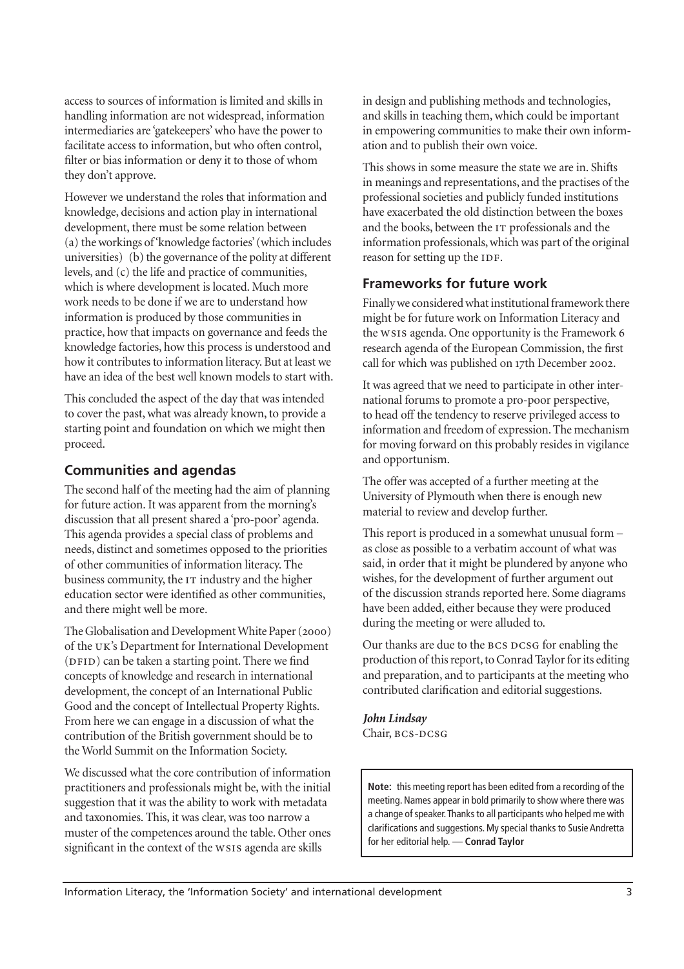access to sources of information is limited and skills in handling information are not widespread, information intermediaries are 'gatekeepers' who have the power to facilitate access to information, but who often control, filter or bias information or deny it to those of whom they don't approve.

However we understand the roles that information and knowledge, decisions and action play in international development, there must be some relation between (a) the workings of 'knowledge factories' (which includes universities) (b) the governance of the polity at different levels, and (c) the life and practice of communities, which is where development is located. Much more work needs to be done if we are to understand how information is produced by those communities in practice, how that impacts on governance and feeds the knowledge factories, how this process is understood and how it contributes to information literacy. But at least we have an idea of the best well known models to start with.

This concluded the aspect of the day that was intended to cover the past, what was already known, to provide a starting point and foundation on which we might then proceed.

#### **Communities and agendas**

The second half of the meeting had the aim of planning for future action. It was apparent from the morning's discussion that all present shared a 'pro-poor' agenda. This agenda provides a special class of problems and needs, distinct and sometimes opposed to the priorities of other communities of information literacy. The business community, the IT industry and the higher education sector were identified as other communities, and there might well be more.

The Globalisation and Development White Paper (2000) of the UK's Department for International Development (DFID) can be taken a starting point. There we find concepts of knowledge and research in international development, the concept of an International Public Good and the concept of Intellectual Property Rights. From here we can engage in a discussion of what the contribution of the British government should be to the World Summit on the Information Society.

We discussed what the core contribution of information practitioners and professionals might be, with the initial suggestion that it was the ability to work with metadata and taxonomies. This, it was clear, was too narrow a muster of the competences around the table. Other ones significant in the context of the ws1s agenda are skills

in design and publishing methods and technologies, and skills in teaching them, which could be important in empowering communities to make their own information and to publish their own voice.

This shows in some measure the state we are in. Shifts in meanings and representations, and the practises of the professional societies and publicly funded institutions have exacerbated the old distinction between the boxes and the books, between the IT professionals and the information professionals, which was part of the original reason for setting up the IDF.

#### **Frameworks for future work**

Finally we considered what institutional framework there might be for future work on Information Literacy and the WSIS agenda. One opportunity is the Framework 6 research agenda of the European Commission, the first call for which was published on 17th December 2002.

It was agreed that we need to participate in other international forums to promote a pro-poor perspective, to head off the tendency to reserve privileged access to information and freedom of expression. The mechanism for moving forward on this probably resides in vigilance and opportunism.

The offer was accepted of a further meeting at the University of Plymouth when there is enough new material to review and develop further.

This report is produced in a somewhat unusual form – as close as possible to a verbatim account of what was said, in order that it might be plundered by anyone who wishes, for the development of further argument out of the discussion strands reported here. Some diagrams have been added, either because they were produced during the meeting or were alluded to.

Our thanks are due to the BCS DCSG for enabling the production of this report, to Conrad Taylor for its editing and preparation, and to participants at the meeting who contributed clarification and editorial suggestions.

# *John Lindsay*

Chair, BCS-DCSG

**Note:** this meeting report has been edited from a recording of the meeting. Names appear in bold primarily to show where there was a change of speaker. Thanks to all participants who helped me with clarifications and suggestions. My special thanks to Susie Andretta for her editorial help. — **Conrad Taylor**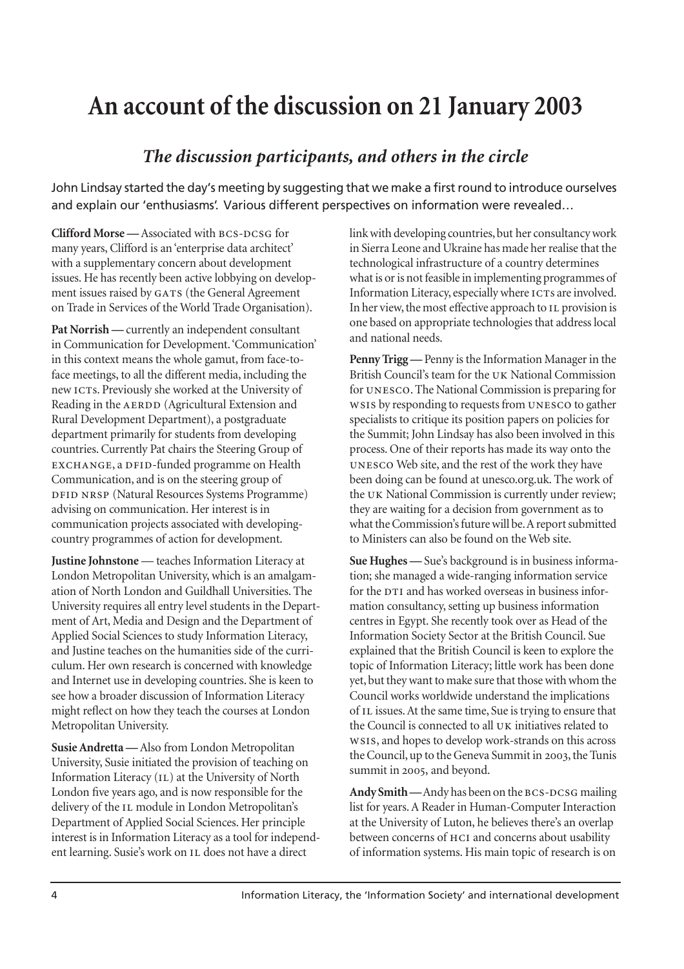# **An account of the discussion on 21 January 2003**

# *The discussion participants, and others in the circle*

John Lindsay started the day's meeting by suggesting that we make a first round to introduce ourselves and explain our 'enthusiasms'. Various different perspectives on information were revealed…

**Clifford Morse** — Associated with BCS-DCSG for many years, Clifford is an 'enterprise data architect' with a supplementary concern about development issues. He has recently been active lobbying on development issues raised by GATS (the General Agreement on Trade in Services of the World Trade Organisation).

Pat Norrish — currently an independent consultant in Communication for Development. 'Communication' in this context means the whole gamut, from face-toface meetings, to all the different media, including the new ICTs. Previously she worked at the University of Reading in the AERDD (Agricultural Extension and Rural Development Department), a postgraduate department primarily for students from developing countries. Currently Pat chairs the Steering Group of EXCHANGE, a DFID-funded programme on Health Communication, and is on the steering group of (Natural Resources Systems Programme) advising on communication. Her interest is in communication projects associated with developingcountry programmes of action for development.

**Justine Johnstone** — teaches Information Literacy at London Metropolitan University, which is an amalgamation of North London and Guildhall Universities. The University requires all entry level students in the Department of Art, Media and Design and the Department of Applied Social Sciences to study Information Literacy, and Justine teaches on the humanities side of the curriculum. Her own research is concerned with knowledge and Internet use in developing countries. She is keen to see how a broader discussion of Information Literacy might reflect on how they teach the courses at London Metropolitan University.

**Susie Andretta —** Also from London Metropolitan University, Susie initiated the provision of teaching on Information Literacy (IL) at the University of North London five years ago, and is now responsible for the delivery of the IL module in London Metropolitan's Department of Applied Social Sciences. Her principle interest is in Information Literacy as a tool for independent learning. Susie's work on IL does not have a direct

link with developing countries, but her consultancy work in Sierra Leone and Ukraine has made her realise that the technological infrastructure of a country determines what is or is not feasible in implementing programmes of Information Literacy, especially where ICTs are involved. In her view, the most effective approach to IL provision is one based on appropriate technologies that address local and national needs.

**Penny Trigg —** Penny is the Information Manager in the British Council's team for the UK National Commission for UNESCO. The National Commission is preparing for ws1s by responding to requests from UNESCO to gather specialists to critique its position papers on policies for the Summit; John Lindsay has also been involved in this process. One of their reports has made its way onto the UNESCO Web site, and the rest of the work they have been doing can be found at unesco.org.uk. The work of the UK National Commission is currently under review; they are waiting for a decision from government as to what the Commission's future will be. A report submitted to Ministers can also be found on the Web site.

**Sue Hughes —** Sue's background is in business information; she managed a wide-ranging information service for the DTI and has worked overseas in business information consultancy, setting up business information centres in Egypt. She recently took over as Head of the Information Society Sector at the British Council. Sue explained that the British Council is keen to explore the topic of Information Literacy; little work has been done yet, but they want to make sure that those with whom the Council works worldwide understand the implications of IL issues. At the same time, Sue is trying to ensure that the Council is connected to all UK initiatives related to ws1s, and hopes to develop work-strands on this across the Council, up to the Geneva Summit in 2003, the Tunis summit in 2005, and beyond.

Andy Smith — Andy has been on the BCS-DCSG mailing list for years. A Reader in Human-Computer Interaction at the University of Luton, he believes there's an overlap between concerns of HCI and concerns about usability of information systems. His main topic of research is on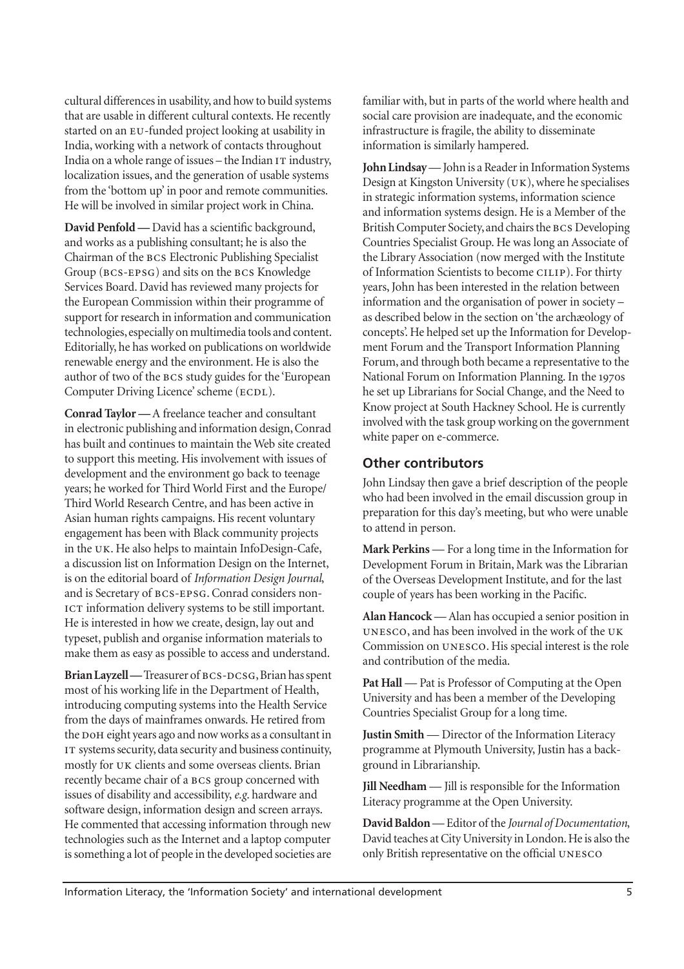cultural differences in usability, and how to build systems that are usable in different cultural contexts. He recently started on an EU-funded project looking at usability in India, working with a network of contacts throughout India on a whole range of issues - the Indian IT industry, localization issues, and the generation of usable systems from the 'bottom up' in poor and remote communities. He will be involved in similar project work in China.

**David Penfold —** David has a scientific background, and works as a publishing consultant; he is also the Chairman of the BCS Electronic Publishing Specialist Group (BCS-EPSG) and sits on the BCS Knowledge Services Board. David has reviewed many projects for the European Commission within their programme of support for research in information and communication technologies, especially on multimedia tools and content. Editorially, he has worked on publications on worldwide renewable energy and the environment. He is also the author of two of the BCS study guides for the 'European Computer Driving Licence' scheme (ECDL).

**Conrad Taylor —** A freelance teacher and consultant in electronic publishing and information design, Conrad has built and continues to maintain the Web site created to support this meeting. His involvement with issues of development and the environment go back to teenage years; he worked for Third World First and the Europe/ Third World Research Centre, and has been active in Asian human rights campaigns. His recent voluntary engagement has been with Black community projects in the UK. He also helps to maintain InfoDesign-Cafe, a discussion list on Information Design on the Internet, is on the editorial board of *Information Design Journal*, and is Secretary of BCS-EPSG. Conrad considers non-ICT information delivery systems to be still important. He is interested in how we create, design, lay out and typeset, publish and organise information materials to make them as easy as possible to access and understand.

Brian Layzell — Treasurer of BCS-DCSG, Brian has spent most of his working life in the Department of Health, introducing computing systems into the Health Service from the days of mainframes onwards. He retired from the DOH eight years ago and now works as a consultant in IT systems security, data security and business continuity, mostly for UK clients and some overseas clients. Brian recently became chair of a BCS group concerned with issues of disability and accessibility, *e.g*. hardware and software design, information design and screen arrays. He commented that accessing information through new technologies such as the Internet and a laptop computer is something a lot of people in the developed societies are familiar with, but in parts of the world where health and social care provision are inadequate, and the economic infrastructure is fragile, the ability to disseminate information is similarly hampered.

**John Lindsay**— John is a Reader in Information Systems Design at Kingston University  $(UK)$ , where he specialises in strategic information systems, information science and information systems design. He is a Member of the British Computer Society, and chairs the BCS Developing Countries Specialist Group. He was long an Associate of the Library Association (now merged with the Institute of Information Scientists to become CILIP). For thirty years, John has been interested in the relation between information and the organisation of power in society – as described below in the section on 'the archæology of concepts'. He helped set up the Information for Development Forum and the Transport Information Planning Forum, and through both became a representative to the National Forum on Information Planning. In the 1970s he set up Librarians for Social Change, and the Need to Know project at South Hackney School. He is currently involved with the task group working on the government white paper on e-commerce.

#### **Other contributors**

John Lindsay then gave a brief description of the people who had been involved in the email discussion group in preparation for this day's meeting, but who were unable to attend in person.

**Mark Perkins** — For a long time in the Information for Development Forum in Britain, Mark was the Librarian of the Overseas Development Institute, and for the last couple of years has been working in the Pacific.

**Alan Hancock** — Alan has occupied a senior position in UNESCO, and has been involved in the work of the UK Commission on UNESCO. His special interest is the role and contribution of the media.

Pat Hall — Pat is Professor of Computing at the Open University and has been a member of the Developing Countries Specialist Group for a long time.

**Justin Smith** — Director of the Information Literacy programme at Plymouth University, Justin has a background in Librarianship.

**Jill Needham** — Jill is responsible for the Information Literacy programme at the Open University.

**David Baldon**— Editor of the *Journal of Documentation*, David teaches at City University in London. He is also the only British representative on the official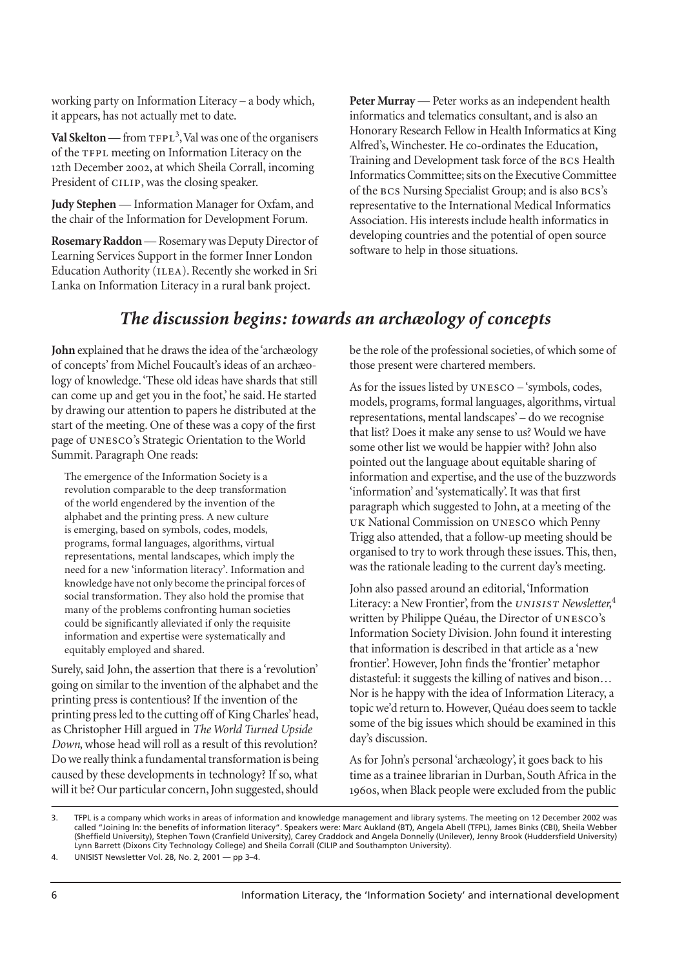working party on Information Literacy – a body which, it appears, has not actually met to date.

Val Skelton — from TFPL<sup>3</sup>, Val was one of the organisers of the TFPL meeting on Information Literacy on the 12th December 2002, at which Sheila Corrall, incoming President of CILIP, was the closing speaker.

**Judy Stephen** — Information Manager for Oxfam, and the chair of the Information for Development Forum.

**Rosemary Raddon**— Rosemary was Deputy Director of Learning Services Support in the former Inner London Education Authority (ILEA). Recently she worked in Sri Lanka on Information Literacy in a rural bank project.

**Peter Murray** — Peter works as an independent health informatics and telematics consultant, and is also an Honorary Research Fellow in Health Informatics at King Alfred's, Winchester. He co-ordinates the Education, Training and Development task force of the BCS Health Informatics Committee; sits on the Executive Committee of the BCS Nursing Specialist Group; and is also BCS's representative to the International Medical Informatics Association. His interests include health informatics in developing countries and the potential of open source software to help in those situations.

# *The discussion begins: towards an archæology of concepts*

**John** explained that he draws the idea of the 'archæology of concepts' from Michel Foucault's ideas of an archæology of knowledge. 'These old ideas have shards that still can come up and get you in the foot,' he said. He started by drawing our attention to papers he distributed at the start of the meeting. One of these was a copy of the first page of UNESCO's Strategic Orientation to the World Summit. Paragraph One reads:

<span id="page-5-0"></span>The emergence of the Information Society is a revolution comparable to the deep transformation of the world engendered by the invention of the alphabet and the printing press. A new culture is emerging, based on symbols, codes, models, programs, formal languages, algorithms, virtual representations, mental landscapes, which imply the need for a new 'information literacy'. Information and knowledge have not only become the principal forces of social transformation. They also hold the promise that many of the problems confronting human societies could be significantly alleviated if only the requisite information and expertise were systematically and equitably employed and shared.

Surely, said John, the assertion that there is a 'revolution' going on similar to the invention of the alphabet and the printing press is contentious? If the invention of the printing press led to the cutting off of King Charles' head, as Christopher Hill argued in *The World Turned Upside Down*, whose head will roll as a result of this revolution? Do we really think a fundamental transformation is being caused by these developments in technology? If so, what will it be? Our particular concern, John suggested, should be the role of the professional societies, of which some of those present were chartered members.

As for the issues listed by  $UNESCO - 'symbols, codes,$ models, programs, formal languages, algorithms, virtual representations, mental landscapes' – do we recognise that list? Does it make any sense to us? Would we have some other list we would be happier with? John also pointed out the language about equitable sharing of information and expertise, and the use of the buzzwords 'information' and 'systematically'. It was that first paragraph which suggested to John, at a meeting of the UK National Commission on UNESCO which Penny Trigg also attended, that a follow-up meeting should be organised to try to work through these issues. This, then, was the rationale leading to the current day's meeting.

John also passed around an editorial, 'Information Literacy: a New Frontier', from the UNISIST Newsletter,<sup>4</sup> written by Philippe Quéau, the Director of UNESCO's Information Society Division. John found it interesting that information is described in that article as a 'new frontier'. However, John finds the 'frontier' metaphor distasteful: it suggests the killing of natives and bison… Nor is he happy with the idea of Information Literacy, a topic we'd return to. However, Quéau does seem to tackle some of the big issues which should be examined in this day's discussion.

As for John's personal 'archæology', it goes back to his time as a trainee librarian in Durban, South Africa in the 1960s, when Black people were excluded from the public

<sup>3.</sup> TFPL is a company which works in areas of information and knowledge management and library systems. The meeting on 12 December 2002 was called "Joining In: the benefits of information literacy". Speakers were: Marc Aukland (BT), Angela Abell (TFPL), James Binks (CBI), Sheila Webber (Sheffield University), Stephen Town (Cranfield University), Carey Craddock and Angela Donnelly (Unilever), Jenny Brook (Huddersfield University) Lynn Barrett (Dixons City Technology College) and Sheila Corrall (CILIP and Southampton University).

<sup>4.</sup> UNISIST Newsletter Vol. 28, No. 2, 2001 — pp 3–4.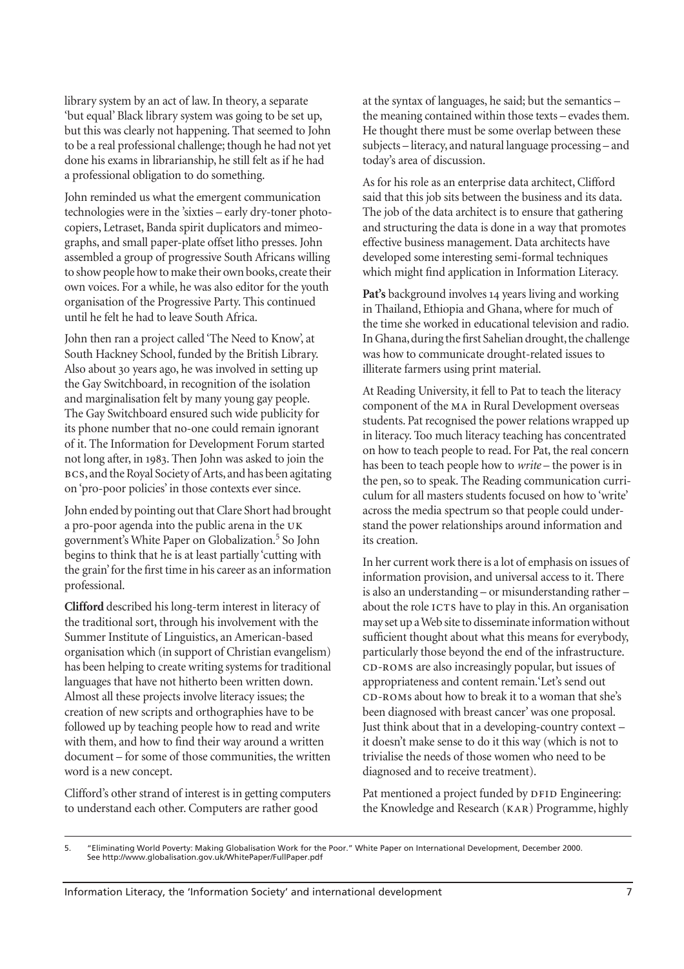library system by an act of law. In theory, a separate 'but equal' Black library system was going to be set up, but this was clearly not happening. That seemed to John to be a real professional challenge; though he had not yet done his exams in librarianship, he still felt as if he had a professional obligation to do something.

John reminded us what the emergent communication technologies were in the 'sixties – early dry-toner photocopiers, Letraset, Banda spirit duplicators and mimeographs, and small paper-plate offset litho presses. John assembled a group of progressive South Africans willing to show people how to make their own books, create their own voices. For a while, he was also editor for the youth organisation of the Progressive Party. This continued until he felt he had to leave South Africa.

John then ran a project called 'The Need to Know', at South Hackney School, funded by the British Library. Also about 30 years ago, he was involved in setting up the Gay Switchboard, in recognition of the isolation and marginalisation felt by many young gay people. The Gay Switchboard ensured such wide publicity for its phone number that no-one could remain ignorant of it. The Information for Development Forum started not long after, in 1983. Then John was asked to join the BCS, and the Royal Society of Arts, and has been agitating on 'pro-poor policies' in those contexts ever since.

John ended by pointing out that Clare Short had brought a pro-poor agenda into the public arena in the government's White Paper on Globalization.<sup>5</sup> So John begins to think that he is at least partially 'cutting with the grain' for the first time in his career as an information professional.

**Clifford** described his long-term interest in literacy of the traditional sort, through his involvement with the Summer Institute of Linguistics, an American-based organisation which (in support of Christian evangelism) has been helping to create writing systems for traditional languages that have not hitherto been written down. Almost all these projects involve literacy issues; the creation of new scripts and orthographies have to be followed up by teaching people how to read and write with them, and how to find their way around a written document – for some of those communities, the written word is a new concept.

Clifford's other strand of interest is in getting computers to understand each other. Computers are rather good

at the syntax of languages, he said; but the semantics – the meaning contained within those texts – evades them. He thought there must be some overlap between these subjects – literacy, and natural language processing – and today's area of discussion.

As for his role as an enterprise data architect, Clifford said that this job sits between the business and its data. The job of the data architect is to ensure that gathering and structuring the data is done in a way that promotes effective business management. Data architects have developed some interesting semi-formal techniques which might find application in Information Literacy.

**Pat's** background involves 14 years living and working in Thailand, Ethiopia and Ghana, where for much of the time she worked in educational television and radio. In Ghana, during the first Sahelian drought, the challenge was how to communicate drought-related issues to illiterate farmers using print material.

At Reading University, it fell to Pat to teach the literacy component of the MA in Rural Development overseas students. Pat recognised the power relations wrapped up in literacy. Too much literacy teaching has concentrated on how to teach people to read. For Pat, the real concern has been to teach people how to *write* – the power is in the pen, so to speak. The Reading communication curriculum for all masters students focused on how to 'write' across the media spectrum so that people could understand the power relationships around information and its creation.

In her current work there is a lot of emphasis on issues of information provision, and universal access to it. There is also an understanding – or misunderstanding rather – about the role ICTS have to play in this. An organisation may set up a Web site to disseminate information without sufficient thought about what this means for everybody, particularly those beyond the end of the infrastructure. CD-ROMS are also increasingly popular, but issues of appropriateness and content remain.'Let's send out CD-ROMs about how to break it to a woman that she's been diagnosed with breast cancer' was one proposal. Just think about that in a developing-country context – it doesn't make sense to do it this way (which is not to trivialise the needs of those women who need to be diagnosed and to receive treatment).

Pat mentioned a project funded by DFID Engineering: the Knowledge and Research (KAR) Programme, highly

<sup>5. &</sup>quot;Eliminating World Poverty: Making Globalisation Work for the Poor." White Paper on International Development, December 2000. See http://www.globalisation.gov.uk/WhitePaper/FullPaper.pdf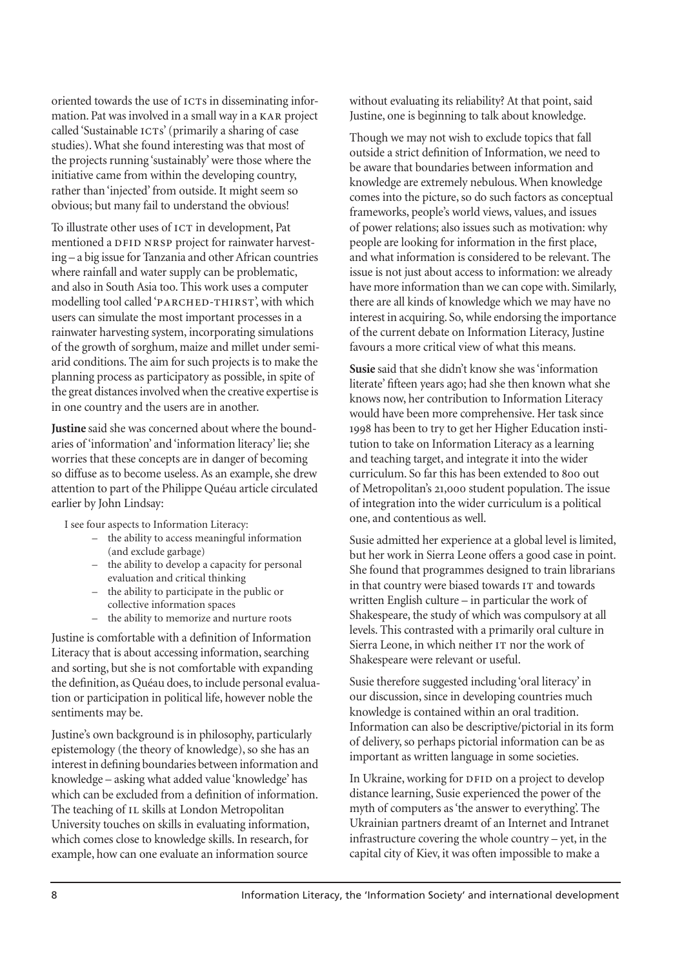oriented towards the use of ICTs in disseminating information. Pat was involved in a small way in a KAR project called 'Sustainable ICTs' (primarily a sharing of case studies). What she found interesting was that most of the projects running 'sustainably' were those where the initiative came from within the developing country, rather than 'injected' from outside. It might seem so obvious; but many fail to understand the obvious!

To illustrate other uses of ICT in development, Pat mentioned a DFID NRSP project for rainwater harvesting – a big issue for Tanzania and other African countries where rainfall and water supply can be problematic, and also in South Asia too. This work uses a computer modelling tool called 'PARCHED-THIRST', with which users can simulate the most important processes in a rainwater harvesting system, incorporating simulations of the growth of sorghum, maize and millet under semiarid conditions. The aim for such projects is to make the planning process as participatory as possible, in spite of the great distances involved when the creative expertise is in one country and the users are in another.

**Justine** said she was concerned about where the boundaries of 'information' and 'information literacy' lie; she worries that these concepts are in danger of becoming so diffuse as to become useless. As an example, she drew attention to part of the Philippe Quéau article circulated earlier by John Lindsay:

I see four aspects to Information Literacy:

- the ability to access meaningful information (and exclude garbage)
- the ability to develop a capacity for personal evaluation and critical thinking
- the ability to participate in the public or collective information spaces
- the ability to memorize and nurture roots

Justine is comfortable with a definition of Information Literacy that is about accessing information, searching and sorting, but she is not comfortable with expanding the definition, as Quéau does, to include personal evaluation or participation in political life, however noble the sentiments may be.

Justine's own background is in philosophy, particularly epistemology (the theory of knowledge), so she has an interest in defining boundaries between information and knowledge – asking what added value 'knowledge' has which can be excluded from a definition of information. The teaching of IL skills at London Metropolitan University touches on skills in evaluating information, which comes close to knowledge skills. In research, for example, how can one evaluate an information source

without evaluating its reliability? At that point, said Justine, one is beginning to talk about knowledge.

Though we may not wish to exclude topics that fall outside a strict definition of Information, we need to be aware that boundaries between information and knowledge are extremely nebulous. When knowledge comes into the picture, so do such factors as conceptual frameworks, people's world views, values, and issues of power relations; also issues such as motivation: why people are looking for information in the first place, and what information is considered to be relevant. The issue is not just about access to information: we already have more information than we can cope with. Similarly, there are all kinds of knowledge which we may have no interest in acquiring. So, while endorsing the importance of the current debate on Information Literacy, Justine favours a more critical view of what this means.

**Susie** said that she didn't know she was 'information literate' fifteen years ago; had she then known what she knows now, her contribution to Information Literacy would have been more comprehensive. Her task since 1998 has been to try to get her Higher Education institution to take on Information Literacy as a learning and teaching target, and integrate it into the wider curriculum. So far this has been extended to 800 out of Metropolitan's 21,000 student population. The issue of integration into the wider curriculum is a political one, and contentious as well.

Susie admitted her experience at a global level is limited, but her work in Sierra Leone offers a good case in point. She found that programmes designed to train librarians in that country were biased towards IT and towards written English culture – in particular the work of Shakespeare, the study of which was compulsory at all levels. This contrasted with a primarily oral culture in Sierra Leone, in which neither IT nor the work of Shakespeare were relevant or useful.

Susie therefore suggested including 'oral literacy' in our discussion, since in developing countries much knowledge is contained within an oral tradition. Information can also be descriptive/pictorial in its form of delivery, so perhaps pictorial information can be as important as written language in some societies.

In Ukraine, working for DFID on a project to develop distance learning, Susie experienced the power of the myth of computers as 'the answer to everything'. The Ukrainian partners dreamt of an Internet and Intranet infrastructure covering the whole country – yet, in the capital city of Kiev, it was often impossible to make a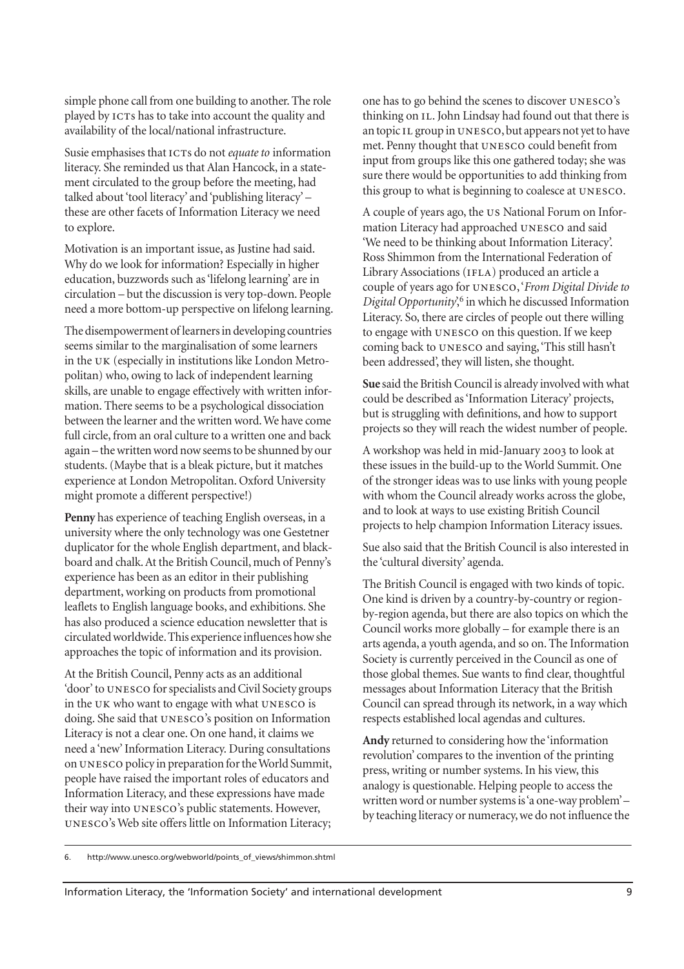simple phone call from one building to another. The role played by ICTs has to take into account the quality and availability of the local/national infrastructure.

Susie emphasises that ICTs do not *equate to* information literacy. She reminded us that Alan Hancock, in a statement circulated to the group before the meeting, had talked about 'tool literacy' and 'publishing literacy' – these are other facets of Information Literacy we need to explore.

Motivation is an important issue, as Justine had said. Why do we look for information? Especially in higher education, buzzwords such as 'lifelong learning' are in circulation – but the discussion is very top-down. People need a more bottom-up perspective on lifelong learning.

The disempowerment of learners in developing countries seems similar to the marginalisation of some learners in the UK (especially in institutions like London Metropolitan) who, owing to lack of independent learning skills, are unable to engage effectively with written information. There seems to be a psychological dissociation between the learner and the written word. We have come full circle, from an oral culture to a written one and back again – the written word now seems to be shunned by our students. (Maybe that is a bleak picture, but it matches experience at London Metropolitan. Oxford University might promote a different perspective!)

**Penny** has experience of teaching English overseas, in a university where the only technology was one Gestetner duplicator for the whole English department, and blackboard and chalk. At the British Council, much of Penny's experience has been as an editor in their publishing department, working on products from promotional leaflets to English language books, and exhibitions. She has also produced a science education newsletter that is circulated worldwide. This experience influences how she approaches the topic of information and its provision.

At the British Council, Penny acts as an additional 'door' to UNESCO for specialists and Civil Society groups in the UK who want to engage with what UNESCO is doing. She said that UNESCO's position on Information Literacy is not a clear one. On one hand, it claims we need a 'new' Information Literacy. During consultations on UNESCO policy in preparation for the World Summit, people have raised the important roles of educators and Information Literacy, and these expressions have made their way into UNESCO's public statements. However, UNESCO's Web site offers little on Information Literacy; one has to go behind the scenes to discover UNESCO's thinking on IL. John Lindsay had found out that there is an topic IL group in UNESCO, but appears not yet to have met. Penny thought that UNESCO could benefit from input from groups like this one gathered today; she was sure there would be opportunities to add thinking from this group to what is beginning to coalesce at UNESCO.

A couple of years ago, the US National Forum on Information Literacy had approached UNESCO and said 'We need to be thinking about Information Literacy'. Ross Shimmon from the International Federation of Library Associations (IFLA) produced an article a couple of years ago for , '*From Digital Divide to Digital Opportunity*',6 in which he discussed Information Literacy. So, there are circles of people out there willing to engage with UNESCO on this question. If we keep coming back to UNESCO and saying, 'This still hasn't been addressed', they will listen, she thought.

**Sue** said the British Council is already involved with what could be described as 'Information Literacy' projects, but is struggling with definitions, and how to support projects so they will reach the widest number of people.

A workshop was held in mid-January 2003 to look at these issues in the build-up to the World Summit. One of the stronger ideas was to use links with young people with whom the Council already works across the globe, and to look at ways to use existing British Council projects to help champion Information Literacy issues.

Sue also said that the British Council is also interested in the 'cultural diversity' agenda.

The British Council is engaged with two kinds of topic. One kind is driven by a country-by-country or regionby-region agenda, but there are also topics on which the Council works more globally – for example there is an arts agenda, a youth agenda, and so on. The Information Society is currently perceived in the Council as one of those global themes. Sue wants to find clear, thoughtful messages about Information Literacy that the British Council can spread through its network, in a way which respects established local agendas and cultures.

**Andy** returned to considering how the 'information revolution' compares to the invention of the printing press, writing or number systems. In his view, this analogy is questionable. Helping people to access the written word or number systems is 'a one-way problem' – by teaching literacy or numeracy, we do not influence the

6. http://www.unesco.org/webworld/points\_of\_views/shimmon.shtml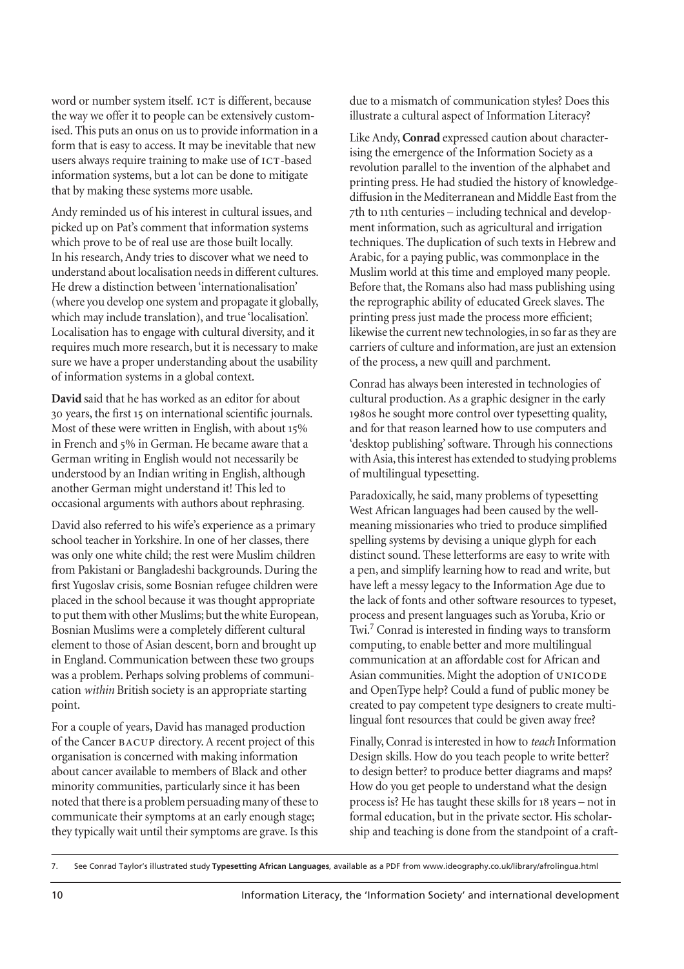word or number system itself. ICT is different, because the way we offer it to people can be extensively customised. This puts an onus on us to provide information in a form that is easy to access. It may be inevitable that new users always require training to make use of ICT-based information systems, but a lot can be done to mitigate that by making these systems more usable.

Andy reminded us of his interest in cultural issues, and picked up on Pat's comment that information systems which prove to be of real use are those built locally. In his research, Andy tries to discover what we need to understand about localisation needs in different cultures. He drew a distinction between 'internationalisation' (where you develop one system and propagate it globally, which may include translation), and true 'localisation'. Localisation has to engage with cultural diversity, and it requires much more research, but it is necessary to make sure we have a proper understanding about the usability of information systems in a global context.

**David** said that he has worked as an editor for about 30 years, the first 15 on international scientific journals. Most of these were written in English, with about 15% in French and 5% in German. He became aware that a German writing in English would not necessarily be understood by an Indian writing in English, although another German might understand it! This led to occasional arguments with authors about rephrasing.

David also referred to his wife's experience as a primary school teacher in Yorkshire. In one of her classes, there was only one white child; the rest were Muslim children from Pakistani or Bangladeshi backgrounds. During the first Yugoslav crisis, some Bosnian refugee children were placed in the school because it was thought appropriate to put them with other Muslims; but the white European, Bosnian Muslims were a completely different cultural element to those of Asian descent, born and brought up in England. Communication between these two groups was a problem. Perhaps solving problems of communication *within* British society is an appropriate starting point.

For a couple of years, David has managed production of the Cancer BACUP directory. A recent project of this organisation is concerned with making information about cancer available to members of Black and other minority communities, particularly since it has been noted that there is a problem persuading many of these to communicate their symptoms at an early enough stage; they typically wait until their symptoms are grave. Is this due to a mismatch of communication styles? Does this illustrate a cultural aspect of Information Literacy?

Like Andy, **Conrad** expressed caution about characterising the emergence of the Information Society as a revolution parallel to the invention of the alphabet and printing press. He had studied the history of knowledgediffusion in the Mediterranean and Middle East from the th to th centuries – including technical and development information, such as agricultural and irrigation techniques. The duplication of such texts in Hebrew and Arabic, for a paying public, was commonplace in the Muslim world at this time and employed many people. Before that, the Romans also had mass publishing using the reprographic ability of educated Greek slaves. The printing press just made the process more efficient; likewise the current new technologies, in so far as they are carriers of culture and information, are just an extension of the process, a new quill and parchment.

Conrad has always been interested in technologies of cultural production. As a graphic designer in the early 1980s he sought more control over typesetting quality, and for that reason learned how to use computers and 'desktop publishing' software. Through his connections with Asia, this interest has extended to studying problems of multilingual typesetting.

Paradoxically, he said, many problems of typesetting West African languages had been caused by the wellmeaning missionaries who tried to produce simplified spelling systems by devising a unique glyph for each distinct sound. These letterforms are easy to write with a pen, and simplify learning how to read and write, but have left a messy legacy to the Information Age due to the lack of fonts and other software resources to typeset, process and present languages such as Yoruba, Krio or Twi.<sup>7</sup> Conrad is interested in finding ways to transform computing, to enable better and more multilingual communication at an affordable cost for African and Asian communities. Might the adoption of and OpenType help? Could a fund of public money be created to pay competent type designers to create multilingual font resources that could be given away free?

Finally, Conrad is interested in how to *teach* Information Design skills. How do you teach people to write better? to design better? to produce better diagrams and maps? How do you get people to understand what the design process is? He has taught these skills for 18 years – not in formal education, but in the private sector. His scholarship and teaching is done from the standpoint of a craft-

<sup>7.</sup> See Conrad Taylor's illustrated study **Typesetting African Languages**, available as a PDF from www.ideography.co.uk/library/afrolingua.html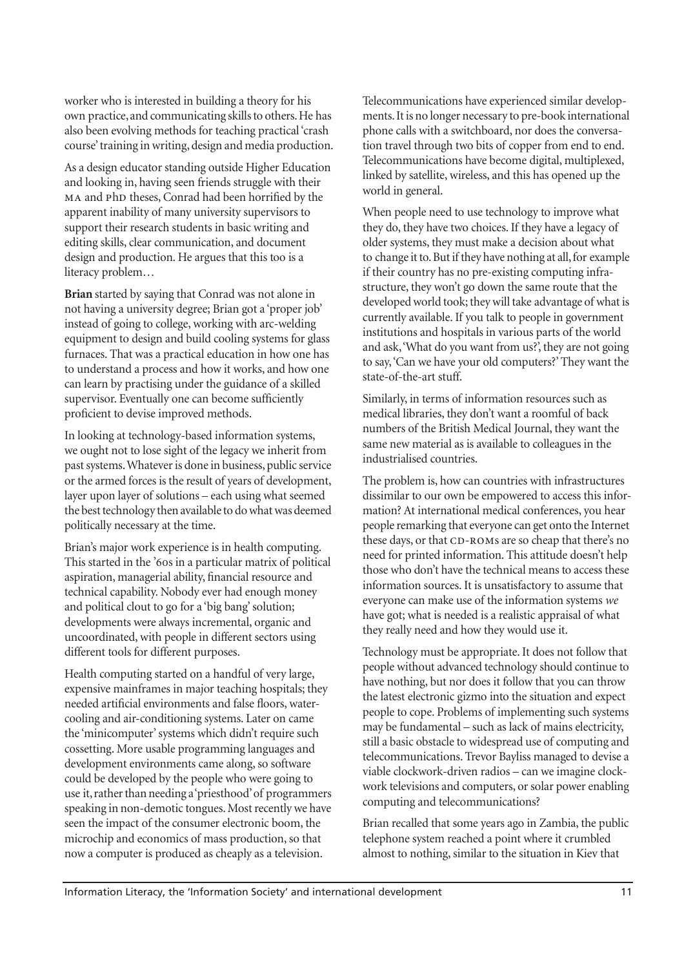worker who is interested in building a theory for his own practice, and communicating skills to others. He has also been evolving methods for teaching practical 'crash course' training in writing, design and media production.

As a design educator standing outside Higher Education and looking in, having seen friends struggle with their MA and PhD theses, Conrad had been horrified by the apparent inability of many university supervisors to support their research students in basic writing and editing skills, clear communication, and document design and production. He argues that this too is a literacy problem…

**Brian** started by saying that Conrad was not alone in not having a university degree; Brian got a 'proper job' instead of going to college, working with arc-welding equipment to design and build cooling systems for glass furnaces. That was a practical education in how one has to understand a process and how it works, and how one can learn by practising under the guidance of a skilled supervisor. Eventually one can become sufficiently proficient to devise improved methods.

In looking at technology-based information systems, we ought not to lose sight of the legacy we inherit from past systems. Whatever is done in business, public service or the armed forces is the result of years of development, layer upon layer of solutions – each using what seemed the best technology then available to do what was deemed politically necessary at the time.

Brian's major work experience is in health computing. This started in the '60s in a particular matrix of political aspiration, managerial ability, financial resource and technical capability. Nobody ever had enough money and political clout to go for a 'big bang' solution; developments were always incremental, organic and uncoordinated, with people in different sectors using different tools for different purposes.

Health computing started on a handful of very large, expensive mainframes in major teaching hospitals; they needed artificial environments and false floors, watercooling and air-conditioning systems. Later on came the 'minicomputer' systems which didn't require such cossetting. More usable programming languages and development environments came along, so software could be developed by the people who were going to use it, rather than needing a 'priesthood' of programmers speaking in non-demotic tongues. Most recently we have seen the impact of the consumer electronic boom, the microchip and economics of mass production, so that now a computer is produced as cheaply as a television.

Telecommunications have experienced similar developments. It is no longer necessary to pre-book international phone calls with a switchboard, nor does the conversation travel through two bits of copper from end to end. Telecommunications have become digital, multiplexed, linked by satellite, wireless, and this has opened up the world in general.

When people need to use technology to improve what they do, they have two choices. If they have a legacy of older systems, they must make a decision about what to change it to. But if they have nothing at all, for example if their country has no pre-existing computing infrastructure, they won't go down the same route that the developed world took; they will take advantage of what is currently available. If you talk to people in government institutions and hospitals in various parts of the world and ask, 'What do you want from us?', they are not going to say, 'Can we have your old computers?' They want the state-of-the-art stuff.

Similarly, in terms of information resources such as medical libraries, they don't want a roomful of back numbers of the British Medical Journal, they want the same new material as is available to colleagues in the industrialised countries.

The problem is, how can countries with infrastructures dissimilar to our own be empowered to access this information? At international medical conferences, you hear people remarking that everyone can get onto the Internet these days, or that CD-ROMs are so cheap that there's no need for printed information. This attitude doesn't help those who don't have the technical means to access these information sources. It is unsatisfactory to assume that everyone can make use of the information systems *we* have got; what is needed is a realistic appraisal of what they really need and how they would use it.

Technology must be appropriate. It does not follow that people without advanced technology should continue to have nothing, but nor does it follow that you can throw the latest electronic gizmo into the situation and expect people to cope. Problems of implementing such systems may be fundamental – such as lack of mains electricity, still a basic obstacle to widespread use of computing and telecommunications. Trevor Bayliss managed to devise a viable clockwork-driven radios – can we imagine clockwork televisions and computers, or solar power enabling computing and telecommunications?

Brian recalled that some years ago in Zambia, the public telephone system reached a point where it crumbled almost to nothing, similar to the situation in Kiev that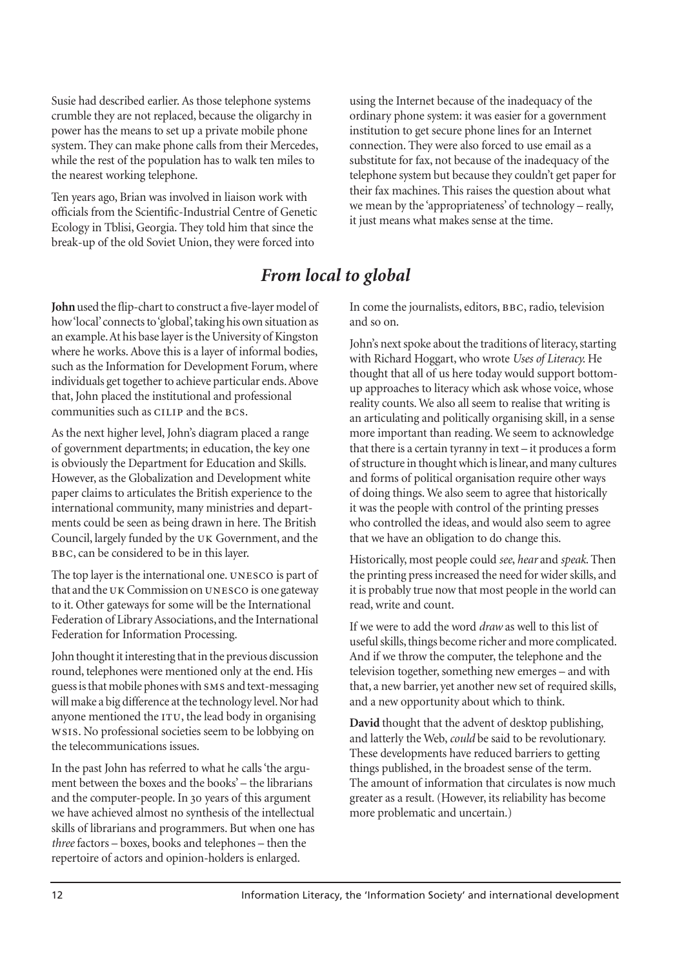Susie had described earlier. As those telephone systems crumble they are not replaced, because the oligarchy in power has the means to set up a private mobile phone system. They can make phone calls from their Mercedes, while the rest of the population has to walk ten miles to the nearest working telephone.

Ten years ago, Brian was involved in liaison work with officials from the Scientific-Industrial Centre of Genetic Ecology in Tblisi, Georgia. They told him that since the break-up of the old Soviet Union, they were forced into

using the Internet because of the inadequacy of the ordinary phone system: it was easier for a government institution to get secure phone lines for an Internet connection. They were also forced to use email as a substitute for fax, not because of the inadequacy of the telephone system but because they couldn't get paper for their fax machines. This raises the question about what we mean by the 'appropriateness' of technology – really, it just means what makes sense at the time.

# *From local to global*

**John** used the flip-chart to construct a five-layer model of how 'local' connects to 'global', taking his own situation as an example. At his base layer is the University of Kingston where he works. Above this is a layer of informal bodies, such as the Information for Development Forum, where individuals get together to achieve particular ends. Above that, John placed the institutional and professional communities such as CILIP and the BCS.

As the next higher level, John's diagram placed a range of government departments; in education, the key one is obviously the Department for Education and Skills. However, as the Globalization and Development white paper claims to articulates the British experience to the international community, many ministries and departments could be seen as being drawn in here. The British Council, largely funded by the UK Government, and the BBC, can be considered to be in this layer.

The top layer is the international one. UNESCO is part of that and the UK Commission on UNESCO is one gateway to it. Other gateways for some will be the International Federation of Library Associations, and the International Federation for Information Processing.

John thought it interesting that in the previous discussion round, telephones were mentioned only at the end. His guess is that mobile phones with SMS and text-messaging will make a big difference at the technology level. Nor had anyone mentioned the  $ITU$ , the lead body in organising . No professional societies seem to be lobbying on the telecommunications issues.

In the past John has referred to what he calls 'the argument between the boxes and the books' – the librarians and the computer-people. In 30 years of this argument we have achieved almost no synthesis of the intellectual skills of librarians and programmers. But when one has *three* factors – boxes, books and telephones – then the repertoire of actors and opinion-holders is enlarged.

In come the journalists, editors, BBC, radio, television and so on.

John's next spoke about the traditions of literacy, starting with Richard Hoggart, who wrote *Uses of Literacy*. He thought that all of us here today would support bottomup approaches to literacy which ask whose voice, whose reality counts. We also all seem to realise that writing is an articulating and politically organising skill, in a sense more important than reading. We seem to acknowledge that there is a certain tyranny in text – it produces a form of structure in thought which is linear, and many cultures and forms of political organisation require other ways of doing things. We also seem to agree that historically it was the people with control of the printing presses who controlled the ideas, and would also seem to agree that we have an obligation to do change this.

Historically, most people could *see*, *hear* and *speak*. Then the printing press increased the need for wider skills, and it is probably true now that most people in the world can read, write and count.

If we were to add the word *draw* as well to this list of useful skills, things become richer and more complicated. And if we throw the computer, the telephone and the television together, something new emerges – and with that, a new barrier, yet another new set of required skills, and a new opportunity about which to think.

**David** thought that the advent of desktop publishing, and latterly the Web, *could* be said to be revolutionary. These developments have reduced barriers to getting things published, in the broadest sense of the term. The amount of information that circulates is now much greater as a result. (However, its reliability has become more problematic and uncertain.)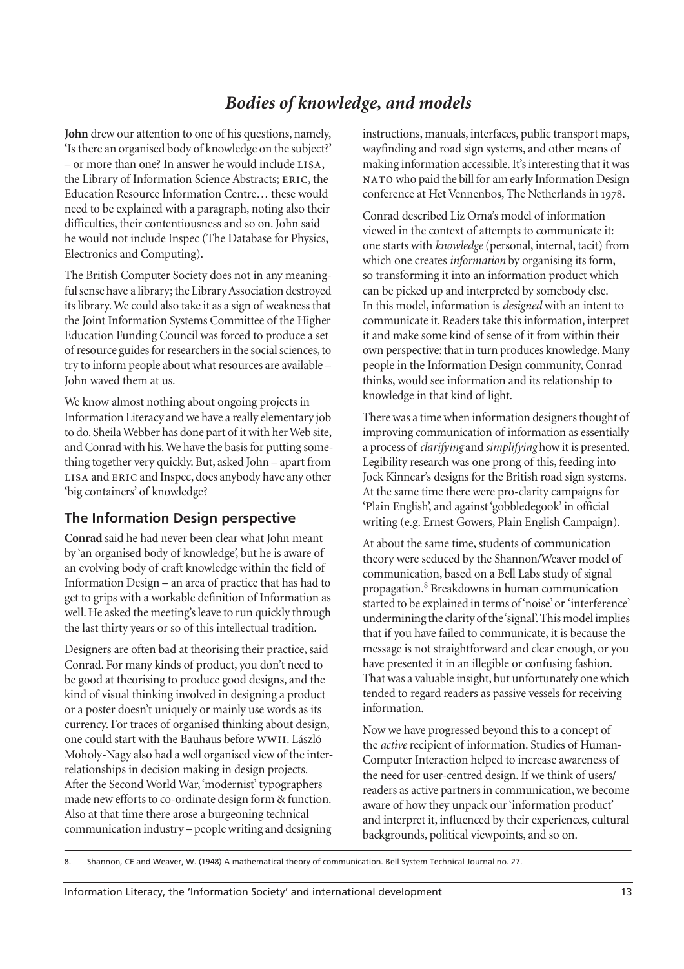# *Bodies of knowledge, and models*

**John** drew our attention to one of his questions, namely, 'Is there an organised body of knowledge on the subject?'  $-$  or more than one? In answer he would include  $LISA$ , the Library of Information Science Abstracts; ERIC, the Education Resource Information Centre… these would need to be explained with a paragraph, noting also their difficulties, their contentiousness and so on. John said he would not include Inspec (The Database for Physics, Electronics and Computing).

The British Computer Society does not in any meaningful sense have a library; the Library Association destroyed its library. We could also take it as a sign of weakness that the Joint Information Systems Committee of the Higher Education Funding Council was forced to produce a set of resource guides for researchers in the social sciences, to try to inform people about what resources are available – John waved them at us.

We know almost nothing about ongoing projects in Information Literacy and we have a really elementary job to do. Sheila Webber has done part of it with her Web site, and Conrad with his. We have the basis for putting something together very quickly. But, asked John – apart from LISA and ERIC and Inspec, does anybody have any other 'big containers' of knowledge?

#### **The Information Design perspective**

**Conrad** said he had never been clear what John meant by 'an organised body of knowledge', but he is aware of an evolving body of craft knowledge within the field of Information Design – an area of practice that has had to get to grips with a workable definition of Information as well. He asked the meeting's leave to run quickly through the last thirty years or so of this intellectual tradition.

Designers are often bad at theorising their practice, said Conrad. For many kinds of product, you don't need to be good at theorising to produce good designs, and the kind of visual thinking involved in designing a product or a poster doesn't uniquely or mainly use words as its currency. For traces of organised thinking about design, one could start with the Bauhaus before wwII. László Moholy-Nagy also had a well organised view of the interrelationships in decision making in design projects. After the Second World War, 'modernist' typographers made new efforts to co-ordinate design form & function. Also at that time there arose a burgeoning technical communication industry – people writing and designing

instructions, manuals, interfaces, public transport maps, wayfinding and road sign systems, and other means of making information accessible. It's interesting that it was who paid the bill for am early Information Design conference at Het Vennenbos, The Netherlands in 1978.

Conrad described Liz Orna's model of information viewed in the context of attempts to communicate it: one starts with *knowledge*(personal, internal, tacit) from which one creates *information* by organising its form, so transforming it into an information product which can be picked up and interpreted by somebody else. In this model, information is *designed* with an intent to communicate it. Readers take this information, interpret it and make some kind of sense of it from within their own perspective: that in turn produces knowledge. Many people in the Information Design community, Conrad thinks, would see information and its relationship to knowledge in that kind of light.

There was a time when information designers thought of improving communication of information as essentially a process of *clarifying* and *simplifying* how it is presented. Legibility research was one prong of this, feeding into Jock Kinnear's designs for the British road sign systems. At the same time there were pro-clarity campaigns for 'Plain English', and against 'gobbledegook' in official writing (e.g. Ernest Gowers, Plain English Campaign).

At about the same time, students of communication theory were seduced by the Shannon/Weaver model of communication, based on a Bell Labs study of signal propagation.<sup>8</sup> Breakdowns in human communication started to be explained in terms of 'noise' or 'interference' undermining the clarity of the 'signal'. This model implies that if you have failed to communicate, it is because the message is not straightforward and clear enough, or you have presented it in an illegible or confusing fashion. That was a valuable insight, but unfortunately one which tended to regard readers as passive vessels for receiving information.

Now we have progressed beyond this to a concept of the *active* recipient of information. Studies of Human-Computer Interaction helped to increase awareness of the need for user-centred design. If we think of users/ readers as active partners in communication, we become aware of how they unpack our 'information product' and interpret it, influenced by their experiences, cultural backgrounds, political viewpoints, and so on.

8. Shannon, CE and Weaver, W. (1948) A mathematical theory of communication. Bell System Technical Journal no. 27.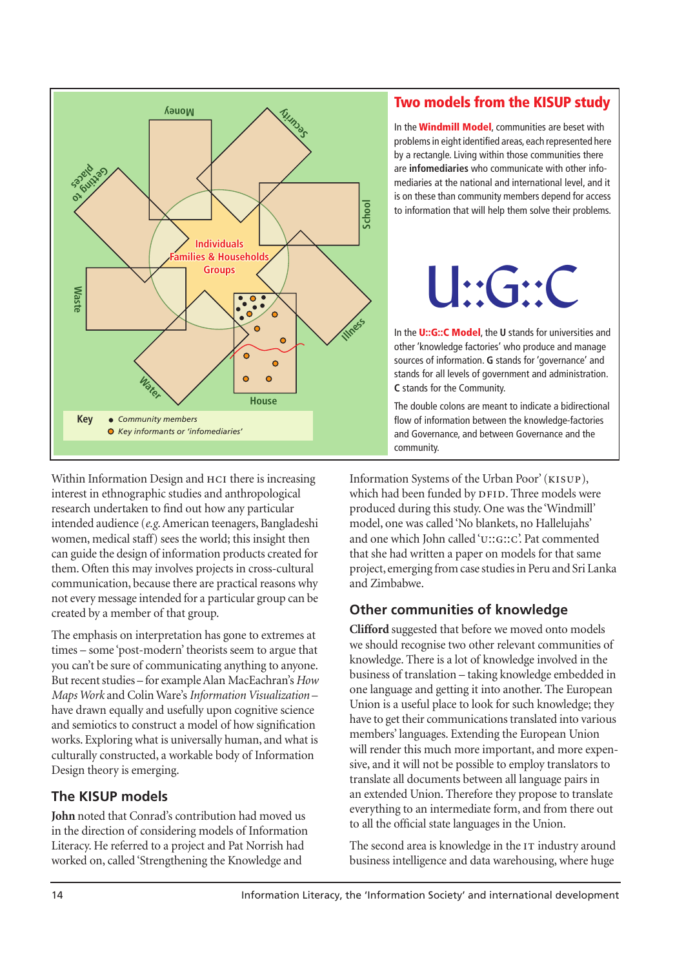

Within Information Design and HCI there is increasing interest in ethnographic studies and anthropological research undertaken to find out how any particular intended audience (*e.g*. American teenagers, Bangladeshi women, medical staff) sees the world; this insight then can guide the design of information products created for them. Often this may involves projects in cross-cultural communication, because there are practical reasons why not every message intended for a particular group can be created by a member of that group.

The emphasis on interpretation has gone to extremes at times – some 'post-modern' theorists seem to argue that you can't be sure of communicating anything to anyone. But recent studies – for example Alan MacEachran's *How Maps Work* and Colin Ware's *Information Visualization* – have drawn equally and usefully upon cognitive science and semiotics to construct a model of how signification works. Exploring what is universally human, and what is culturally constructed, a workable body of Information Design theory is emerging.

## **The KISUP models**

**John** noted that Conrad's contribution had moved us in the direction of considering models of Information Literacy. He referred to a project and Pat Norrish had worked on, called 'Strengthening the Knowledge and

# **Two models from the KISUP study**

In the **Windmill Model**, communities are beset with problems in eight identified areas, each represented here by a rectangle. Living within those communities there are **infomediaries** who communicate with other infomediaries at the national and international level, and it is on these than community members depend for access to information that will help them solve their problems.



In the **U::G::C Model**, the **U** stands for universities and other 'knowledge factories' who produce and manage sources of information. **G** stands for 'governance' and stands for all levels of government and administration. **C** stands for the Community.

The double colons are meant to indicate a bidirectional flow of information between the knowledge-factories and Governance, and between Governance and the community.

Information Systems of the Urban Poor' (KISUP), which had been funded by DFID. Three models were produced during this study. One was the 'Windmill' model, one was called 'No blankets, no Hallelujahs' and one which John called 'u::G::C'. Pat commented that she had written a paper on models for that same project, emerging from case studies in Peru and Sri Lanka and Zimbabwe.

# **Other communities of knowledge**

**Clifford** suggested that before we moved onto models we should recognise two other relevant communities of knowledge. There is a lot of knowledge involved in the business of translation – taking knowledge embedded in one language and getting it into another. The European Union is a useful place to look for such knowledge; they have to get their communications translated into various members' languages. Extending the European Union will render this much more important, and more expensive, and it will not be possible to employ translators to translate all documents between all language pairs in an extended Union. Therefore they propose to translate everything to an intermediate form, and from there out to all the official state languages in the Union.

The second area is knowledge in the IT industry around business intelligence and data warehousing, where huge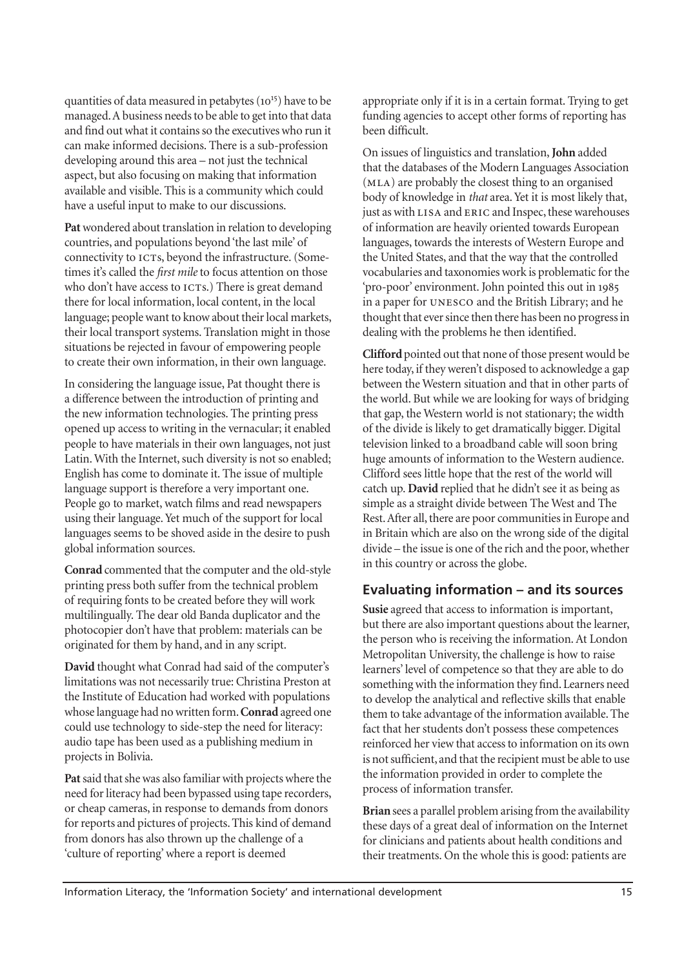quantities of data measured in petabytes  $(10^{15})$  have to be managed. A business needs to be able to get into that data and find out what it contains so the executives who run it can make informed decisions. There is a sub-profession developing around this area – not just the technical aspect, but also focusing on making that information available and visible. This is a community which could have a useful input to make to our discussions.

**Pat**wondered about translation in relation to developing countries, and populations beyond 'the last mile' of connectivity to ICTs, beyond the infrastructure. (Sometimes it's called the *first mile* to focus attention on those who don't have access to ICTs.) There is great demand there for local information, local content, in the local language; people want to know about their local markets, their local transport systems. Translation might in those situations be rejected in favour of empowering people to create their own information, in their own language.

In considering the language issue, Pat thought there is a difference between the introduction of printing and the new information technologies. The printing press opened up access to writing in the vernacular; it enabled people to have materials in their own languages, not just Latin. With the Internet, such diversity is not so enabled; English has come to dominate it. The issue of multiple language support is therefore a very important one. People go to market, watch films and read newspapers using their language. Yet much of the support for local languages seems to be shoved aside in the desire to push global information sources.

**Conrad** commented that the computer and the old-style printing press both suffer from the technical problem of requiring fonts to be created before they will work multilingually. The dear old Banda duplicator and the photocopier don't have that problem: materials can be originated for them by hand, and in any script.

**David** thought what Conrad had said of the computer's limitations was not necessarily true: Christina Preston at the Institute of Education had worked with populations whose language had no written form. **Conrad** agreed one could use technology to side-step the need for literacy: audio tape has been used as a publishing medium in projects in Bolivia.

**Pat**said that she was also familiar with projects where the need for literacy had been bypassed using tape recorders, or cheap cameras, in response to demands from donors for reports and pictures of projects. This kind of demand from donors has also thrown up the challenge of a 'culture of reporting' where a report is deemed

appropriate only if it is in a certain format. Trying to get funding agencies to accept other forms of reporting has been difficult.

On issues of linguistics and translation, **John** added that the databases of the Modern Languages Association (MLA) are probably the closest thing to an organised body of knowledge in *that* area. Yet it is most likely that, just as with LISA and ERIC and Inspec, these warehouses of information are heavily oriented towards European languages, towards the interests of Western Europe and the United States, and that the way that the controlled vocabularies and taxonomies work is problematic for the 'pro-poor' environment. John pointed this out in in a paper for UNESCO and the British Library; and he thought that ever since then there has been no progress in dealing with the problems he then identified.

**Clifford** pointed out that none of those present would be here today, if they weren't disposed to acknowledge a gap between the Western situation and that in other parts of the world. But while we are looking for ways of bridging that gap, the Western world is not stationary; the width of the divide is likely to get dramatically bigger. Digital television linked to a broadband cable will soon bring huge amounts of information to the Western audience. Clifford sees little hope that the rest of the world will catch up. **David** replied that he didn't see it as being as simple as a straight divide between The West and The Rest. After all, there are poor communities in Europe and in Britain which are also on the wrong side of the digital divide – the issue is one of the rich and the poor, whether in this country or across the globe.

#### **Evaluating information – and its sources**

**Susie** agreed that access to information is important, but there are also important questions about the learner, the person who is receiving the information. At London Metropolitan University, the challenge is how to raise learners' level of competence so that they are able to do something with the information they find. Learners need to develop the analytical and reflective skills that enable them to take advantage of the information available. The fact that her students don't possess these competences reinforced her view that access to information on its own is not sufficient, and that the recipient must be able to use the information provided in order to complete the process of information transfer.

**Brian** sees a parallel problem arising from the availability these days of a great deal of information on the Internet for clinicians and patients about health conditions and their treatments. On the whole this is good: patients are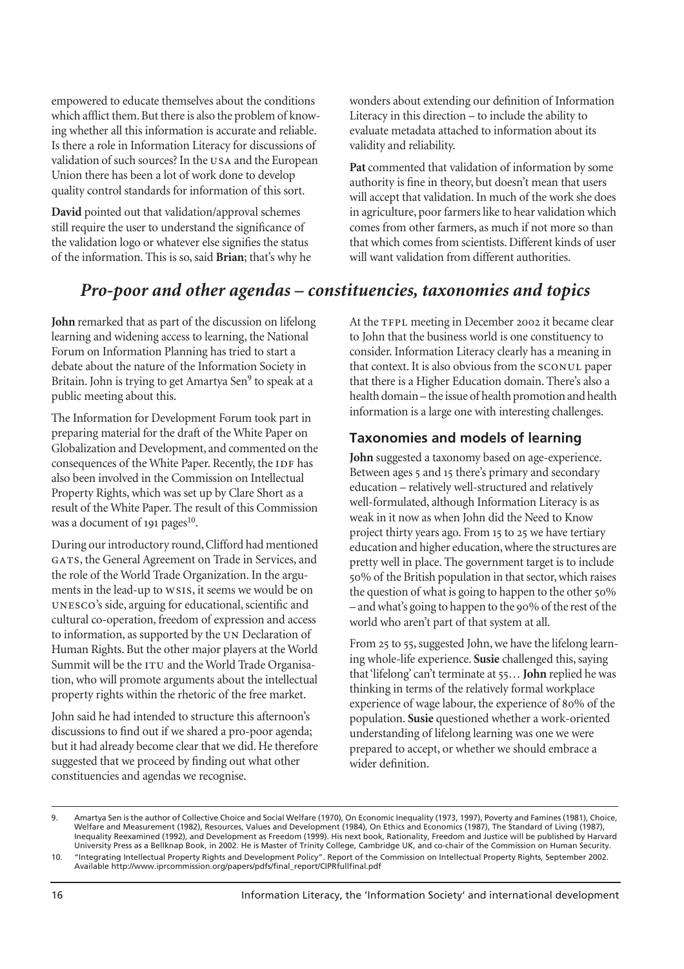empowered to educate themselves about the conditions which afflict them. But there is also the problem of knowing whether all this information is accurate and reliable. Is there a role in Information Literacy for discussions of validation of such sources? In the USA and the European Union there has been a lot of work done to develop quality control standards for information of this sort.

**David** pointed out that validation/approval schemes still require the user to understand the significance of the validation logo or whatever else signifies the status of the information. This is so, said **Brian**; that's why he wonders about extending our definition of Information Literacy in this direction – to include the ability to evaluate metadata attached to information about its validity and reliability.

Pat commented that validation of information by some authority is fine in theory, but doesn't mean that users will accept that validation. In much of the work she does in agriculture, poor farmers like to hear validation which comes from other farmers, as much if not more so than that which comes from scientists. Different kinds of user will want validation from different authorities.

# *Pro-poor and other agendas – constituencies, taxonomies and topics*

**John** remarked that as part of the discussion on lifelong learning and widening access to learning, the National Forum on Information Planning has tried to start a debate about the nature of the Information Society in Britain. John is trying to get Amartya Sen<sup>9</sup> to speak at a public meeting about this.

The Information for Development Forum took part in preparing material for the draft of the White Paper on Globalization and Development, and commented on the consequences of the White Paper. Recently, the IDF has also been involved in the Commission on Intellectual Property Rights, which was set up by Clare Short as a result of the White Paper. The result of this Commission was a document of  $191 \text{ pages}^{10}$ .

During our introductory round, Clifford had mentioned GATS, the General Agreement on Trade in Services, and the role of the World Trade Organization. In the arguments in the lead-up to ws1s, it seems we would be on UNESCO's side, arguing for educational, scientific and cultural co-operation, freedom of expression and access to information, as supported by the UN Declaration of Human Rights. But the other major players at the World Summit will be the  $ITU$  and the World Trade Organisation, who will promote arguments about the intellectual property rights within the rhetoric of the free market.

John said he had intended to structure this afternoon's discussions to find out if we shared a pro-poor agenda; but it had already become clear that we did. He therefore suggested that we proceed by finding out what other constituencies and agendas we recognise.

At the TFPL meeting in December 2002 it became clear to John that the business world is one constituency to consider. Information Literacy clearly has a meaning in that context. It is also obvious from the SCONUL paper that there is a Higher Education domain. There's also a health domain – the issue of health promotion and health information is a large one with interesting challenges.

## **Taxonomies and models of learning**

**John** suggested a taxonomy based on age-experience. Between ages 5 and 15 there's primary and secondary education – relatively well-structured and relatively well-formulated, although Information Literacy is as weak in it now as when John did the Need to Know project thirty years ago. From 15 to 25 we have tertiary education and higher education, where the structures are pretty well in place. The government target is to include % of the British population in that sector, which raises the question of what is going to happen to the other  $50\%$  $-$  and what's going to happen to the 90% of the rest of the world who aren't part of that system at all.

From 25 to 55, suggested John, we have the lifelong learning whole-life experience. **Susie** challenged this, saying that 'lifelong' can't terminate at 55... **John** replied he was thinking in terms of the relatively formal workplace experience of wage labour, the experience of 80% of the population. **Susie** questioned whether a work-oriented understanding of lifelong learning was one we were prepared to accept, or whether we should embrace a wider definition.

<sup>9.</sup> Amartya Sen is the author of Collective Choice and Social Welfare (1970), On Economic Inequality (1973, 1997), Poverty and Famines (1981), Choice, Welfare and Measurement (1982), Resources, Values and Development (1984), On Ethics and Economics (1987), The Standard of Living (1987), Inequality Reexamined (1992), and Development as Freedom (1999). His next book, Rationality, Freedom and Justice will be published by Harvard University Press as a Bellknap Book, in 2002. He is Master of Trinity College, Cambridge UK, and co-chair of the Commission on Human Security.

<sup>10. &</sup>quot;Integrating Intellectual Property Rights and Development Policy". Report of the Commission on Intellectual Property Rights, September 2002. Available http://www.iprcommission.org/papers/pdfs/final\_report/CIPRfullfinal.pdf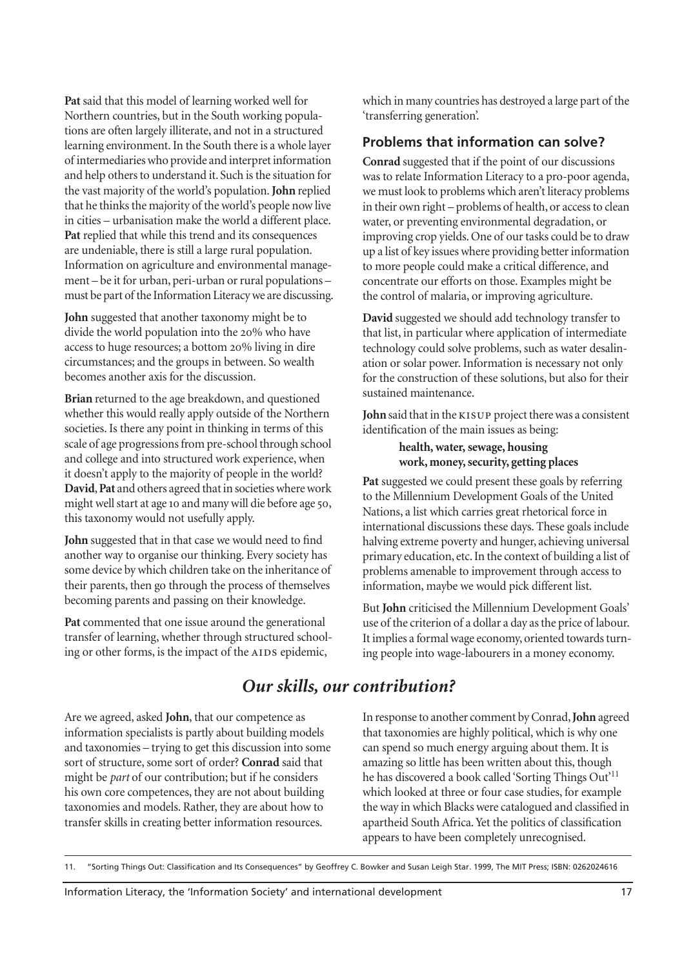**Pat** said that this model of learning worked well for Northern countries, but in the South working populations are often largely illiterate, and not in a structured learning environment. In the South there is a whole layer of intermediaries who provide and interpret information and help others to understand it. Such is the situation for the vast majority of the world's population. **John** replied that he thinks the majority of the world's people now live in cities – urbanisation make the world a different place. **Pat** replied that while this trend and its consequences are undeniable, there is still a large rural population. Information on agriculture and environmental management – be it for urban, peri-urban or rural populations – must be part of the Information Literacy we are discussing.

**John** suggested that another taxonomy might be to divide the world population into the 20% who have access to huge resources; a bottom 20% living in dire circumstances; and the groups in between. So wealth becomes another axis for the discussion.

**Brian** returned to the age breakdown, and questioned whether this would really apply outside of the Northern societies. Is there any point in thinking in terms of this scale of age progressions from pre-school through school and college and into structured work experience, when it doesn't apply to the majority of people in the world? **David**, **Pat** and others agreed that in societies where work might well start at age 10 and many will die before age 50, this taxonomy would not usefully apply.

**John** suggested that in that case we would need to find another way to organise our thinking. Every society has some device by which children take on the inheritance of their parents, then go through the process of themselves becoming parents and passing on their knowledge.

Pat commented that one issue around the generational transfer of learning, whether through structured schooling or other forms, is the impact of the AIDS epidemic,

which in many countries has destroyed a large part of the 'transferring generation'.

#### **Problems that information can solve?**

**Conrad** suggested that if the point of our discussions was to relate Information Literacy to a pro-poor agenda, we must look to problems which aren't literacy problems in their own right – problems of health, or access to clean water, or preventing environmental degradation, or improving crop yields. One of our tasks could be to draw up a list of key issues where providing better information to more people could make a critical difference, and concentrate our efforts on those. Examples might be the control of malaria, or improving agriculture.

**David** suggested we should add technology transfer to that list, in particular where application of intermediate technology could solve problems, such as water desalination or solar power. Information is necessary not only for the construction of these solutions, but also for their sustained maintenance.

John said that in the **KISUP** project there was a consistent identification of the main issues as being:

> **health, water, sewage, housing work, money, security, getting places**

**Pat** suggested we could present these goals by referring to the Millennium Development Goals of the United Nations, a list which carries great rhetorical force in international discussions these days. These goals include halving extreme poverty and hunger, achieving universal primary education, etc. In the context of building a list of problems amenable to improvement through access to information, maybe we would pick different list.

But **John** criticised the Millennium Development Goals' use of the criterion of a dollar a day as the price of labour. It implies a formal wage economy, oriented towards turning people into wage-labourers in a money economy.

# *Our skills, our contribution?*

Are we agreed, asked **John**, that our competence as information specialists is partly about building models and taxonomies – trying to get this discussion into some sort of structure, some sort of order? **Conrad** said that might be *part* of our contribution; but if he considers his own core competences, they are not about building taxonomies and models. Rather, they are about how to transfer skills in creating better information resources.

In response to another comment by Conrad, **John** agreed that taxonomies are highly political, which is why one can spend so much energy arguing about them. It is amazing so little has been written about this, though he has discovered a book called 'Sorting Things Out'<sup>11</sup> which looked at three or four case studies, for example the way in which Blacks were catalogued and classified in apartheid South Africa. Yet the politics of classification appears to have been completely unrecognised.

<sup>11. &</sup>quot;Sorting Things Out: Classification and Its Consequences" by Geoffrey C. Bowker and Susan Leigh Star. 1999, The MIT Press; ISBN: 0262024616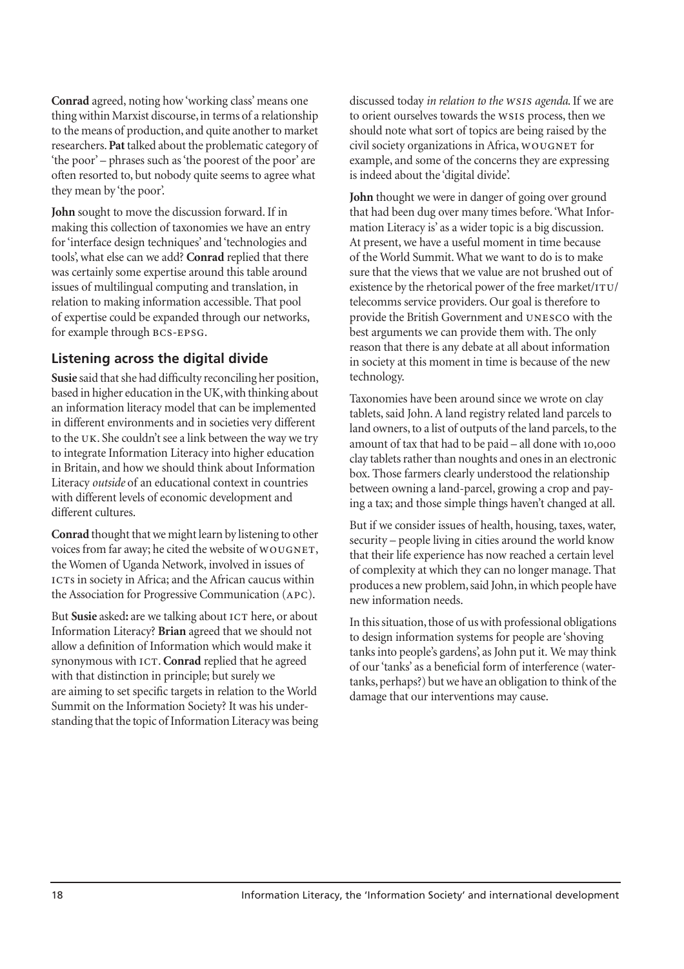**Conrad** agreed, noting how 'working class' means one thing within Marxist discourse, in terms of a relationship to the means of production, and quite another to market researchers. **Pat** talked about the problematic category of 'the poor' – phrases such as 'the poorest of the poor' are often resorted to, but nobody quite seems to agree what they mean by 'the poor'.

**John** sought to move the discussion forward. If in making this collection of taxonomies we have an entry for 'interface design techniques' and 'technologies and tools', what else can we add? **Conrad** replied that there was certainly some expertise around this table around issues of multilingual computing and translation, in relation to making information accessible. That pool of expertise could be expanded through our networks, for example through BCS-EPSG.

#### **Listening across the digital divide**

**Susie** said that she had difficulty reconciling her position, based in higher education in the UK, with thinking about an information literacy model that can be implemented in different environments and in societies very different to the UK. She couldn't see a link between the way we try to integrate Information Literacy into higher education in Britain, and how we should think about Information Literacy *outside* of an educational context in countries with different levels of economic development and different cultures.

**Conrad** thought that we might learn by listening to other voices from far away; he cited the website of WOUGNET, the Women of Uganda Network, involved in issues of ICTs in society in Africa; and the African caucus within the Association for Progressive Communication (APC).

But **Susie** asked: are we talking about ICT here, or about Information Literacy? **Brian** agreed that we should not allow a definition of Information which would make it synonymous with ICT. Conrad replied that he agreed with that distinction in principle; but surely we are aiming to set specific targets in relation to the World Summit on the Information Society? It was his understanding that the topic of Information Literacy was being discussed today *in relation to the WSIS agenda*. If we are to orient ourselves towards the WSIS process, then we should note what sort of topics are being raised by the civil society organizations in Africa, WOUGNET for example, and some of the concerns they are expressing is indeed about the 'digital divide'.

**John** thought we were in danger of going over ground that had been dug over many times before. 'What Information Literacy is' as a wider topic is a big discussion. At present, we have a useful moment in time because of the World Summit. What we want to do is to make sure that the views that we value are not brushed out of existence by the rhetorical power of the free market/ITU/ telecomms service providers. Our goal is therefore to provide the British Government and UNESCO with the best arguments we can provide them with. The only reason that there is any debate at all about information in society at this moment in time is because of the new technology.

Taxonomies have been around since we wrote on clay tablets, said John. A land registry related land parcels to land owners, to a list of outputs of the land parcels, to the amount of tax that had to be paid  $-$  all done with  $10,000$ clay tablets rather than noughts and ones in an electronic box. Those farmers clearly understood the relationship between owning a land-parcel, growing a crop and paying a tax; and those simple things haven't changed at all.

But if we consider issues of health, housing, taxes, water, security – people living in cities around the world know that their life experience has now reached a certain level of complexity at which they can no longer manage. That produces a new problem, said John, in which people have new information needs.

In this situation, those of us with professional obligations to design information systems for people are 'shoving tanks into people's gardens', as John put it. We may think of our 'tanks' as a beneficial form of interference (watertanks, perhaps?) but we have an obligation to think of the damage that our interventions may cause.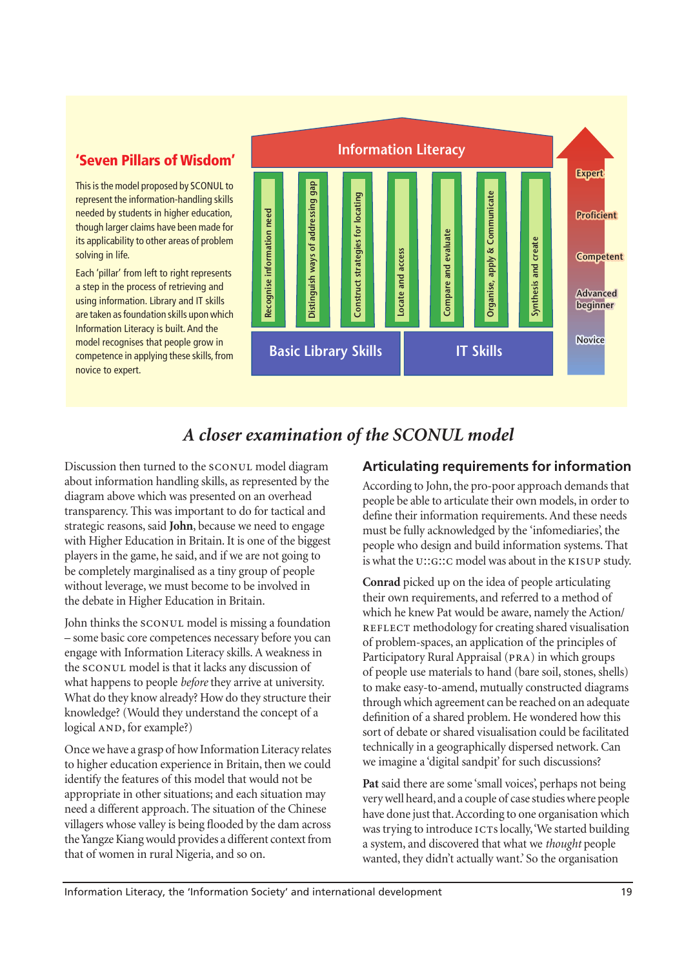# **'Seven Pillars of Wisdom'**

This is the model proposed by SCONUL to represent the information-handling skills needed by students in higher education, though larger claims have been made for its applicability to other areas of problem solving in life.

Each 'pillar' from left to right represents a step in the process of retrieving and using information. Library and IT skills are taken as foundation skills upon which Information Literacy is built. And the model recognises that people grow in competence in applying these skills, from novice to expert.



# *A closer examination of the SCONUL model*

Discussion then turned to the SCONUL model diagram about information handling skills, as represented by the diagram above which was presented on an overhead transparency. This was important to do for tactical and strategic reasons, said **John**, because we need to engage with Higher Education in Britain. It is one of the biggest players in the game, he said, and if we are not going to be completely marginalised as a tiny group of people without leverage, we must become to be involved in the debate in Higher Education in Britain.

John thinks the SCONUL model is missing a foundation – some basic core competences necessary before you can engage with Information Literacy skills. A weakness in the SCONUL model is that it lacks any discussion of what happens to people *before* they arrive at university. What do they know already? How do they structure their knowledge? (Would they understand the concept of a logical AND, for example?)

Once we have a grasp of how Information Literacy relates to higher education experience in Britain, then we could identify the features of this model that would not be appropriate in other situations; and each situation may need a different approach. The situation of the Chinese villagers whose valley is being flooded by the dam across the Yangze Kiang would provides a different context from that of women in rural Nigeria, and so on.

#### **Articulating requirements for information**

According to John, the pro-poor approach demands that people be able to articulate their own models, in order to define their information requirements. And these needs must be fully acknowledged by the 'infomediaries', the people who design and build information systems. That is what the U::G:: C model was about in the KISUP study.

**Conrad** picked up on the idea of people articulating their own requirements, and referred to a method of which he knew Pat would be aware, namely the Action/ REFLECT methodology for creating shared visualisation of problem-spaces, an application of the principles of Participatory Rural Appraisal (PRA) in which groups of people use materials to hand (bare soil, stones, shells) to make easy-to-amend, mutually constructed diagrams through which agreement can be reached on an adequate definition of a shared problem. He wondered how this sort of debate or shared visualisation could be facilitated technically in a geographically dispersed network. Can we imagine a 'digital sandpit' for such discussions?

**Pat** said there are some 'small voices', perhaps not being verywell heard, and a couple of case studies where people have done just that. According to one organisation which was trying to introduce ICTs locally, 'We started building a system, and discovered that what we *thought* people wanted, they didn't actually want.' So the organisation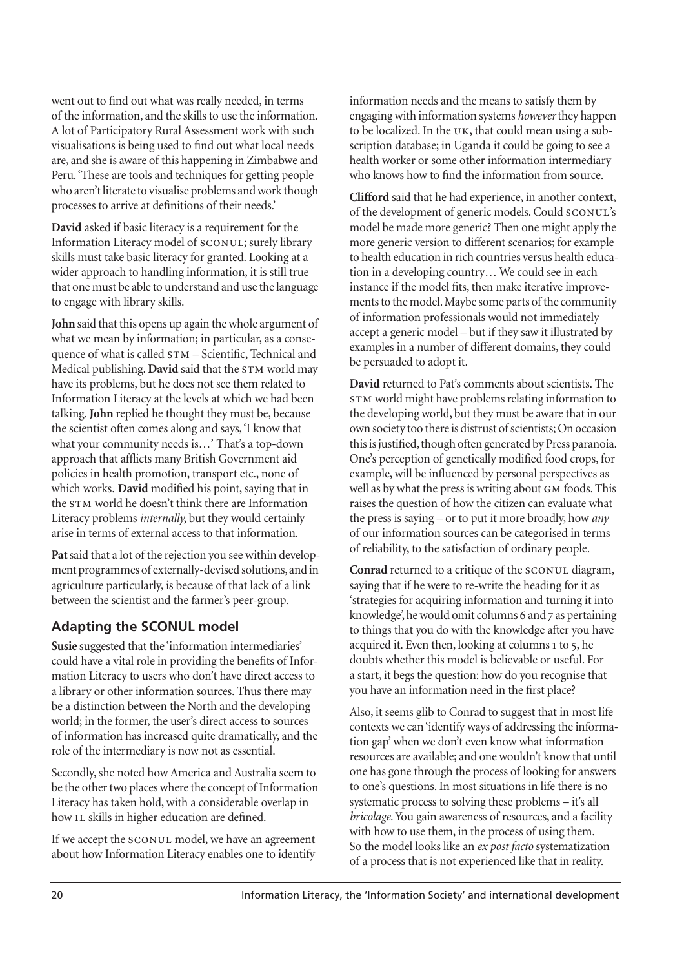went out to find out what was really needed, in terms of the information, and the skills to use the information. A lot of Participatory Rural Assessment work with such visualisations is being used to find out what local needs are, and she is aware of this happening in Zimbabwe and Peru. 'These are tools and techniques for getting people who aren't literate to visualise problems and work though processes to arrive at definitions of their needs.'

**David** asked if basic literacy is a requirement for the Information Literacy model of SCONUL; surely library skills must take basic literacy for granted. Looking at a wider approach to handling information, it is still true that one must be able to understand and use the language to engage with library skills.

**John** said that this opens up again the whole argument of what we mean by information; in particular, as a consequence of what is called  $STM - Scientific$ , Technical and Medical publishing. **David** said that the STM world may have its problems, but he does not see them related to Information Literacy at the levels at which we had been talking. **John** replied he thought they must be, because the scientist often comes along and says, 'I know that what your community needs is…' That's a top-down approach that afflicts many British Government aid policies in health promotion, transport etc., none of which works. **David** modified his point, saying that in the STM world he doesn't think there are Information Literacy problems *internally*, but they would certainly arise in terms of external access to that information.

**Pat** said that a lot of the rejection you see within development programmes of externally-devised solutions, and in agriculture particularly, is because of that lack of a link between the scientist and the farmer's peer-group.

# **Adapting the SCONUL model**

**Susie** suggested that the 'information intermediaries' could have a vital role in providing the benefits of Information Literacy to users who don't have direct access to a library or other information sources. Thus there may be a distinction between the North and the developing world; in the former, the user's direct access to sources of information has increased quite dramatically, and the role of the intermediary is now not as essential.

Secondly, she noted how America and Australia seem to be the other two places where the concept of Information Literacy has taken hold, with a considerable overlap in how IL skills in higher education are defined.

If we accept the SCONUL model, we have an agreement about how Information Literacy enables one to identify information needs and the means to satisfy them by engaging with information systems *however*they happen to be localized. In the  $UK$ , that could mean using a subscription database; in Uganda it could be going to see a health worker or some other information intermediary who knows how to find the information from source.

**Clifford** said that he had experience, in another context, of the development of generic models. Could SCONUL's model be made more generic? Then one might apply the more generic version to different scenarios; for example to health education in rich countries versus health education in a developing country… We could see in each instance if the model fits, then make iterative improvements to the model. Maybe some parts of the community of information professionals would not immediately accept a generic model – but if they saw it illustrated by examples in a number of different domains, they could be persuaded to adopt it.

**David** returned to Pat's comments about scientists. The STM world might have problems relating information to the developing world, but they must be aware that in our own society too there is distrust of scientists; On occasion this is justified, though often generated by Press paranoia. One's perception of genetically modified food crops, for example, will be influenced by personal perspectives as well as by what the press is writing about GM foods. This raises the question of how the citizen can evaluate what the press is saying – or to put it more broadly, how *any* of our information sources can be categorised in terms of reliability, to the satisfaction of ordinary people.

**Conrad** returned to a critique of the SCONUL diagram, saying that if he were to re-write the heading for it as 'strategies for acquiring information and turning it into knowledge', he would omit columns 6 and 7 as pertaining to things that you do with the knowledge after you have acquired it. Even then, looking at columns 1 to 5, he doubts whether this model is believable or useful. For a start, it begs the question: how do you recognise that you have an information need in the first place?

Also, it seems glib to Conrad to suggest that in most life contexts we can 'identify ways of addressing the information gap' when we don't even know what information resources are available; and one wouldn't know that until one has gone through the process of looking for answers to one's questions. In most situations in life there is no systematic process to solving these problems – it's all *bricolage*. You gain awareness of resources, and a facility with how to use them, in the process of using them. So the model looks like an *ex post facto* systematization of a process that is not experienced like that in reality.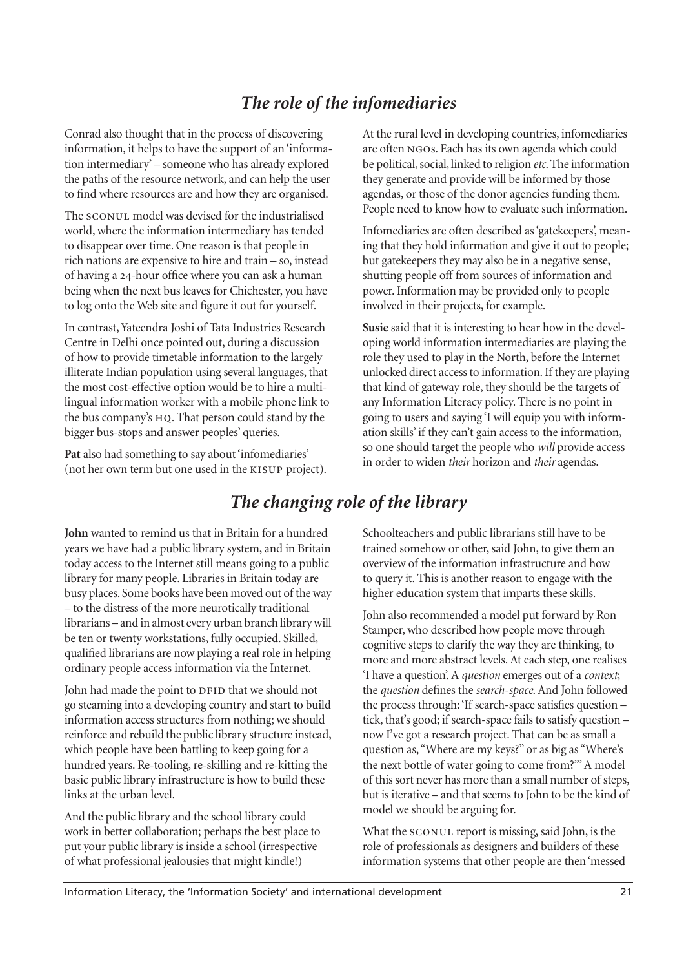# *The role of the infomediaries*

Conrad also thought that in the process of discovering information, it helps to have the support of an 'information intermediary' – someone who has already explored the paths of the resource network, and can help the user to find where resources are and how they are organised.

The SCONUL model was devised for the industrialised world, where the information intermediary has tended to disappear over time. One reason is that people in rich nations are expensive to hire and train – so, instead of having a 24-hour office where you can ask a human being when the next bus leaves for Chichester, you have to log onto the Web site and figure it out for yourself.

In contrast, Yateendra Joshi of Tata Industries Research Centre in Delhi once pointed out, during a discussion of how to provide timetable information to the largely illiterate Indian population using several languages, that the most cost-effective option would be to hire a multilingual information worker with a mobile phone link to the bus company's HQ. That person could stand by the bigger bus-stops and answer peoples' queries.

**Pat** also had something to say about 'infomediaries' (not her own term but one used in the KISUP project). At the rural level in developing countries, infomediaries are often NGOs. Each has its own agenda which could be political, social, linked to religion *etc*. The information they generate and provide will be informed by those agendas, or those of the donor agencies funding them. People need to know how to evaluate such information.

Infomediaries are often described as 'gatekeepers', meaning that they hold information and give it out to people; but gatekeepers they may also be in a negative sense, shutting people off from sources of information and power. Information may be provided only to people involved in their projects, for example.

**Susie** said that it is interesting to hear how in the developing world information intermediaries are playing the role they used to play in the North, before the Internet unlocked direct access to information. If they are playing that kind of gateway role, they should be the targets of any Information Literacy policy. There is no point in going to users and saying 'I will equip you with information skills' if they can't gain access to the information, so one should target the people who *will* provide access in order to widen *their* horizon and *their* agendas.

# *The changing role of the library*

**John** wanted to remind us that in Britain for a hundred years we have had a public library system, and in Britain today access to the Internet still means going to a public library for many people. Libraries in Britain today are busy places. Some books have been moved out of the way – to the distress of the more neurotically traditional librarians – and in almost every urban branch library will be ten or twenty workstations, fully occupied. Skilled, qualified librarians are now playing a real role in helping ordinary people access information via the Internet.

John had made the point to DFID that we should not go steaming into a developing country and start to build information access structures from nothing; we should reinforce and rebuild the public library structure instead, which people have been battling to keep going for a hundred years. Re-tooling, re-skilling and re-kitting the basic public library infrastructure is how to build these links at the urban level.

And the public library and the school library could work in better collaboration; perhaps the best place to put your public library is inside a school (irrespective of what professional jealousies that might kindle!)

Schoolteachers and public librarians still have to be trained somehow or other, said John, to give them an overview of the information infrastructure and how to query it. This is another reason to engage with the higher education system that imparts these skills.

John also recommended a model put forward by Ron Stamper, who described how people move through cognitive steps to clarify the way they are thinking, to more and more abstract levels. At each step, one realises 'I have a question'. A *question* emerges out of a *context*; the *question* defines the *search-space*. And John followed the process through: 'If search-space satisfies question – tick, that's good; if search-space fails to satisfy question – now I've got a research project. That can be as small a question as, "Where are my keys?" or as big as "Where's the next bottle of water going to come from?"' A model of this sort never has more than a small number of steps, but is iterative – and that seems to John to be the kind of model we should be arguing for.

What the SCONUL report is missing, said John, is the role of professionals as designers and builders of these information systems that other people are then 'messed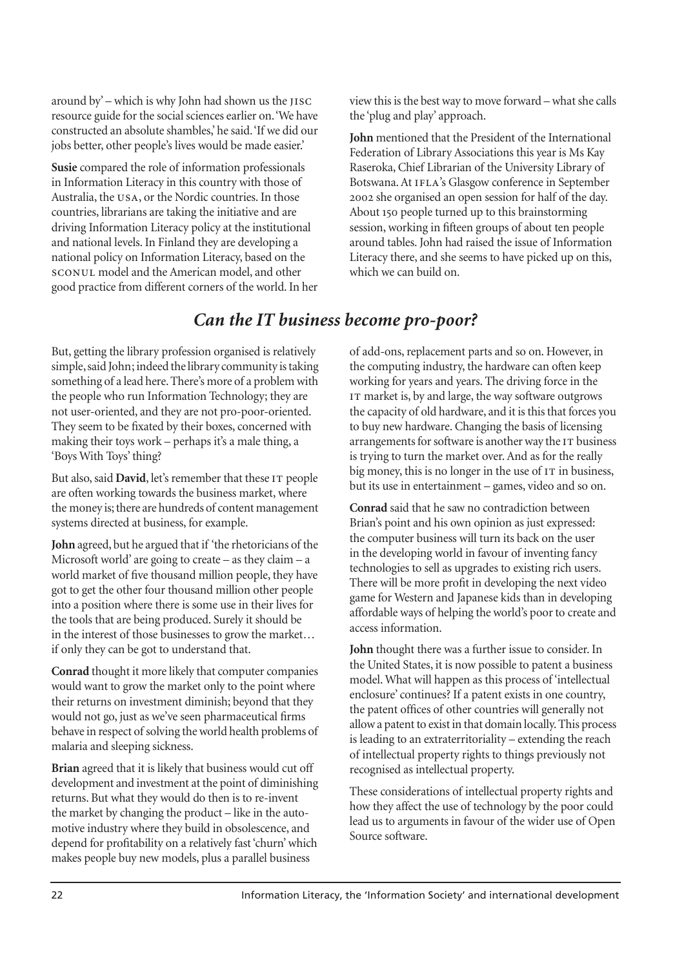around by' – which is why John had shown us the  $JISC$ resource guide for the social sciences earlier on. 'We have constructed an absolute shambles,' he said. 'If we did our jobs better, other people's lives would be made easier.'

**Susie** compared the role of information professionals in Information Literacy in this country with those of Australia, the USA, or the Nordic countries. In those countries, librarians are taking the initiative and are driving Information Literacy policy at the institutional and national levels. In Finland they are developing a national policy on Information Literacy, based on the model and the American model, and other good practice from different corners of the world. In her view this is the best way to move forward – what she calls the 'plug and play' approach.

**John** mentioned that the President of the International Federation of Library Associations this year is Ms Kay Raseroka, Chief Librarian of the University Library of Botswana. At IFLA's Glasgow conference in September she organised an open session for half of the day. About 150 people turned up to this brainstorming session, working in fifteen groups of about ten people around tables. John had raised the issue of Information Literacy there, and she seems to have picked up on this, which we can build on.

# *Can the IT business become pro-poor?*

But, getting the library profession organised is relatively simple, said John; indeed the library community is taking something of a lead here. There's more of a problem with the people who run Information Technology; they are not user-oriented, and they are not pro-poor-oriented. They seem to be fixated by their boxes, concerned with making their toys work – perhaps it's a male thing, a 'Boys With Toys' thing?

But also, said David, let's remember that these IT people are often working towards the business market, where the money is; there are hundreds of content management systems directed at business, for example.

**John** agreed, but he argued that if 'the rhetoricians of the Microsoft world' are going to create – as they claim –  $a$ world market of five thousand million people, they have got to get the other four thousand million other people into a position where there is some use in their lives for the tools that are being produced. Surely it should be in the interest of those businesses to grow the market… if only they can be got to understand that.

**Conrad** thought it more likely that computer companies would want to grow the market only to the point where their returns on investment diminish; beyond that they would not go, just as we've seen pharmaceutical firms behave in respect of solving the world health problems of malaria and sleeping sickness.

**Brian** agreed that it is likely that business would cut off development and investment at the point of diminishing returns. But what they would do then is to re-invent the market by changing the product – like in the automotive industry where they build in obsolescence, and depend for profitability on a relatively fast 'churn' which makes people buy new models, plus a parallel business

of add-ons, replacement parts and so on. However, in the computing industry, the hardware can often keep working for years and years. The driving force in the IT market is, by and large, the way software outgrows the capacity of old hardware, and it is this that forces you to buy new hardware. Changing the basis of licensing arrangements for software is another way the IT business is trying to turn the market over. And as for the really big money, this is no longer in the use of  $IT$  in business, but its use in entertainment – games, video and so on.

**Conrad** said that he saw no contradiction between Brian's point and his own opinion as just expressed: the computer business will turn its back on the user in the developing world in favour of inventing fancy technologies to sell as upgrades to existing rich users. There will be more profit in developing the next video game for Western and Japanese kids than in developing affordable ways of helping the world's poor to create and access information.

**John** thought there was a further issue to consider. In the United States, it is now possible to patent a business model. What will happen as this process of 'intellectual enclosure' continues? If a patent exists in one country, the patent offices of other countries will generally not allow a patent to exist in that domain locally. This process is leading to an extraterritoriality – extending the reach of intellectual property rights to things previously not recognised as intellectual property.

These considerations of intellectual property rights and how they affect the use of technology by the poor could lead us to arguments in favour of the wider use of Open Source software.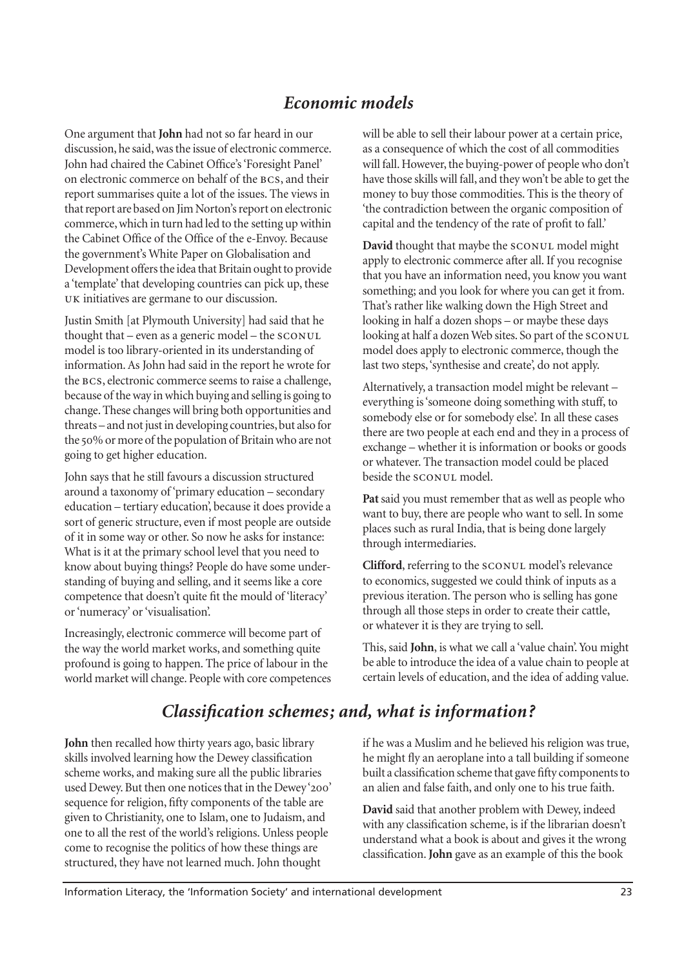# *Economic models*

One argument that **John** had not so far heard in our discussion, he said, was the issue of electronic commerce. John had chaired the Cabinet Office's 'Foresight Panel' on electronic commerce on behalf of the BCS, and their report summarises quite a lot of the issues. The views in that report are based on Jim Norton's report on electronic commerce, which in turn had led to the setting up within the Cabinet Office of the Office of the e-Envoy. Because the government's White Paper on Globalisation and Development offers the idea that Britain ought to provide a 'template' that developing countries can pick up, these UK initiatives are germane to our discussion.

Justin Smith [at Plymouth University] had said that he thought that – even as a generic model – the model is too library-oriented in its understanding of information. As John had said in the report he wrote for the BCS, electronic commerce seems to raise a challenge, because of the way in which buying and selling is going to change. These changes will bring both opportunities and threats – and not just in developing countries, but also for the 50% or more of the population of Britain who are not going to get higher education.

John says that he still favours a discussion structured around a taxonomy of 'primary education – secondary education – tertiary education', because it does provide a sort of generic structure, even if most people are outside of it in some way or other. So now he asks for instance: What is it at the primary school level that you need to know about buying things? People do have some understanding of buying and selling, and it seems like a core competence that doesn't quite fit the mould of 'literacy' or 'numeracy' or 'visualisation'.

Increasingly, electronic commerce will become part of the way the world market works, and something quite profound is going to happen. The price of labour in the world market will change. People with core competences

*Classification schemes; and, what is information?*

**John** then recalled how thirty years ago, basic library skills involved learning how the Dewey classification scheme works, and making sure all the public libraries used Dewey. But then one notices that in the Dewey'200' sequence for religion, fifty components of the table are given to Christianity, one to Islam, one to Judaism, and one to all the rest of the world's religions. Unless people come to recognise the politics of how these things are structured, they have not learned much. John thought

will be able to sell their labour power at a certain price, as a consequence of which the cost of all commodities will fall. However, the buying-power of people who don't have those skills will fall, and they won't be able to get the money to buy those commodities. This is the theory of 'the contradiction between the organic composition of capital and the tendency of the rate of profit to fall.'

**David** thought that maybe the SCONUL model might apply to electronic commerce after all. If you recognise that you have an information need, you know you want something; and you look for where you can get it from. That's rather like walking down the High Street and looking in half a dozen shops – or maybe these days looking at half a dozen Web sites. So part of the SCONUL model does apply to electronic commerce, though the last two steps, 'synthesise and create', do not apply.

Alternatively, a transaction model might be relevant – everything is 'someone doing something with stuff, to somebody else or for somebody else'. In all these cases there are two people at each end and they in a process of exchange – whether it is information or books or goods or whatever. The transaction model could be placed beside the SCONUL model.

**Pat** said you must remember that as well as people who want to buy, there are people who want to sell. In some places such as rural India, that is being done largely through intermediaries.

**Clifford**, referring to the SCONUL model's relevance to economics, suggested we could think of inputs as a previous iteration. The person who is selling has gone through all those steps in order to create their cattle, or whatever it is they are trying to sell.

This, said **John**, is what we call a 'value chain'. You might be able to introduce the idea of a value chain to people at certain levels of education, and the idea of adding value.

if he was a Muslim and he believed his religion was true, he might fly an aeroplane into a tall building if someone built a classification scheme that gave fifty components to an alien and false faith, and only one to his true faith.

**David** said that another problem with Dewey, indeed with any classification scheme, is if the librarian doesn't understand what a book is about and gives it the wrong classification. **John** gave as an example of this the book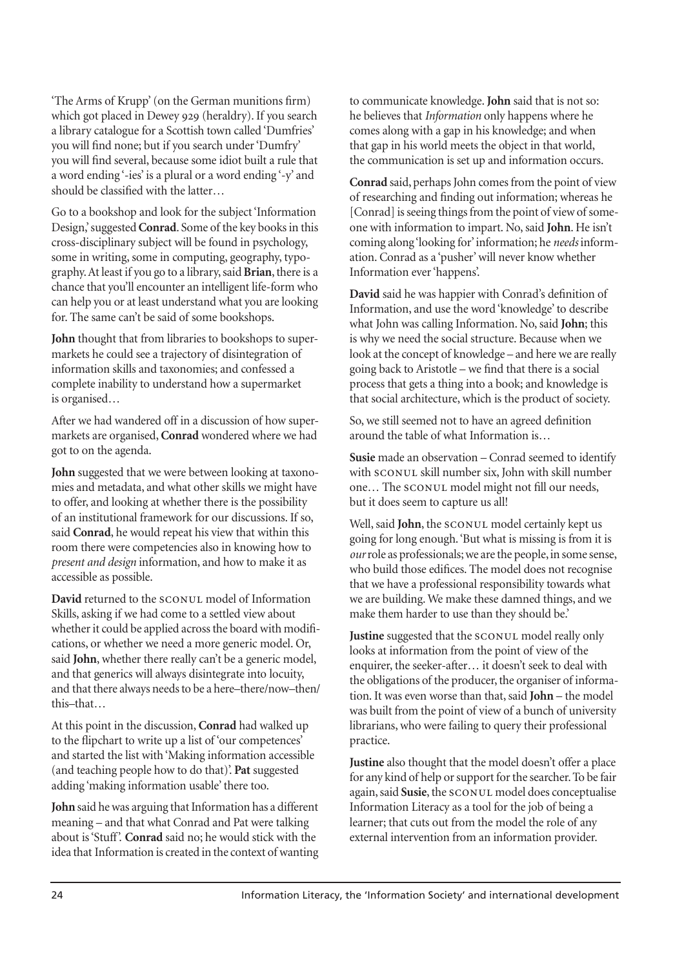'The Arms of Krupp' (on the German munitions firm) which got placed in Dewey 929 (heraldry). If you search a library catalogue for a Scottish town called 'Dumfries' you will find none; but if you search under 'Dumfry' you will find several, because some idiot built a rule that a word ending '-ies' is a plural or a word ending '-y' and should be classified with the latter…

Go to a bookshop and look for the subject 'Information Design,' suggested **Conrad**. Some of the key books in this cross-disciplinary subject will be found in psychology, some in writing, some in computing, geography, typography. At least if you go to a library, said **Brian**, there is a chance that you'll encounter an intelligent life-form who can help you or at least understand what you are looking for. The same can't be said of some bookshops.

**John** thought that from libraries to bookshops to supermarkets he could see a trajectory of disintegration of information skills and taxonomies; and confessed a complete inability to understand how a supermarket is organised…

After we had wandered off in a discussion of how supermarkets are organised, **Conrad** wondered where we had got to on the agenda.

**John** suggested that we were between looking at taxonomies and metadata, and what other skills we might have to offer, and looking at whether there is the possibility of an institutional framework for our discussions. If so, said **Conrad**, he would repeat his view that within this room there were competencies also in knowing how to *present and design* information, and how to make it as accessible as possible.

**David** returned to the **sCONUL** model of Information Skills, asking if we had come to a settled view about whether it could be applied across the board with modifications, or whether we need a more generic model. Or, said **John**, whether there really can't be a generic model, and that generics will always disintegrate into locuity, and that there always needs to be a here–there/now–then/ this–that…

At this point in the discussion, **Conrad** had walked up to the flipchart to write up a list of 'our competences' and started the list with 'Making information accessible (and teaching people how to do that)'. **Pat** suggested adding 'making information usable' there too.

**John** said he was arguing that Information has a different meaning – and that what Conrad and Pat were talking about is 'Stuff'. **Conrad** said no; he would stick with the idea that Information is created in the context of wanting to communicate knowledge. **John** said that is not so: he believes that *Information* only happens where he comes along with a gap in his knowledge; and when that gap in his world meets the object in that world, the communication is set up and information occurs.

**Conrad** said, perhaps John comes from the point of view of researching and finding out information; whereas he [Conrad] is seeing things from the point of view of someone with information to impart. No, said **John**. He isn't coming along 'looking for' information; he *needs* information. Conrad as a 'pusher' will never know whether Information ever 'happens'.

**David** said he was happier with Conrad's definition of Information, and use the word 'knowledge' to describe what John was calling Information. No, said **John**; this is why we need the social structure. Because when we look at the concept of knowledge – and here we are really going back to Aristotle – we find that there is a social process that gets a thing into a book; and knowledge is that social architecture, which is the product of society.

So, we still seemed not to have an agreed definition around the table of what Information is…

**Susie** made an observation – Conrad seemed to identify with  $s_{\text{conv}}$  skill number six, John with skill number one... The SCONUL model might not fill our needs, but it does seem to capture us all!

Well, said John, the SCONUL model certainly kept us going for long enough. 'But what is missing is from it is *our*role as professionals; we are the people, in some sense, who build those edifices. The model does not recognise that we have a professional responsibility towards what we are building. We make these damned things, and we make them harder to use than they should be.'

Justine suggested that the SCONUL model really only looks at information from the point of view of the enquirer, the seeker-after… it doesn't seek to deal with the obligations of the producer, the organiser of information. It was even worse than that, said **John** – the model was built from the point of view of a bunch of university librarians, who were failing to query their professional practice.

**Justine** also thought that the model doesn't offer a place for any kind of help or support for the searcher. To be fair again, said Susie, the SCONUL model does conceptualise Information Literacy as a tool for the job of being a learner; that cuts out from the model the role of any external intervention from an information provider.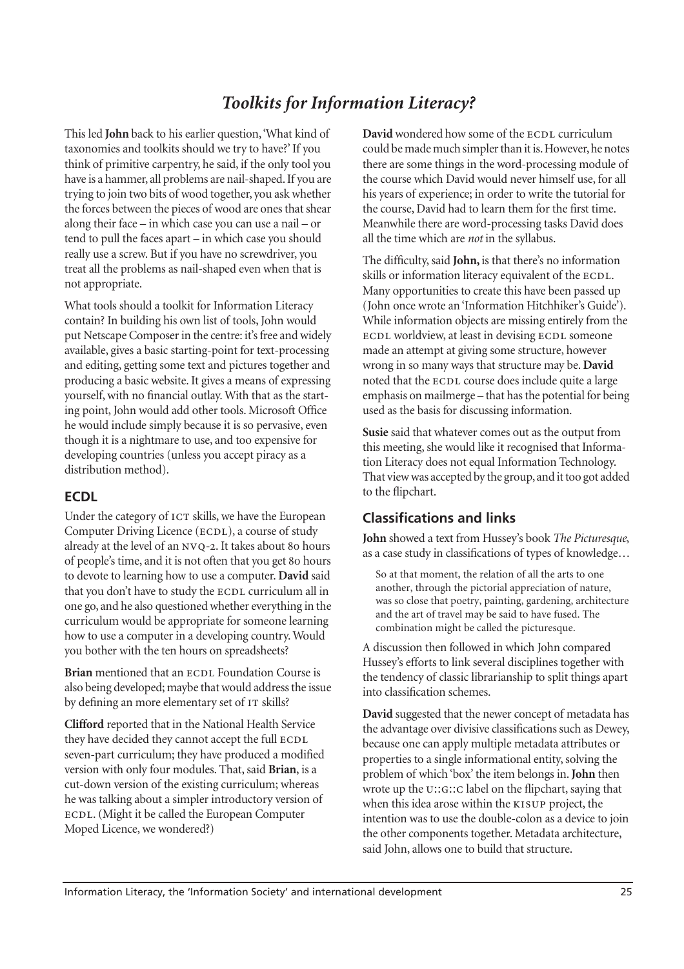# *Toolkits for Information Literacy?*

This led **John** back to his earlier question, 'What kind of taxonomies and toolkits should we try to have?' If you think of primitive carpentry, he said, if the only tool you have is a hammer, all problems are nail-shaped. If you are trying to join two bits of wood together, you ask whether the forces between the pieces of wood are ones that shear along their face – in which case you can use a nail – or tend to pull the faces apart – in which case you should really use a screw. But if you have no screwdriver, you treat all the problems as nail-shaped even when that is not appropriate.

What tools should a toolkit for Information Literacy contain? In building his own list of tools, John would put Netscape Composer in the centre: it's free and widely available, gives a basic starting-point for text-processing and editing, getting some text and pictures together and producing a basic website. It gives a means of expressing yourself, with no financial outlay. With that as the starting point, John would add other tools. Microsoft Office he would include simply because it is so pervasive, even though it is a nightmare to use, and too expensive for developing countries (unless you accept piracy as a distribution method).

#### **ECDL**

Under the category of ICT skills, we have the European Computer Driving Licence (ECDL), a course of study already at the level of an NVQ-2. It takes about 80 hours of people's time, and it is not often that you get 80 hours to devote to learning how to use a computer. **David** said that you don't have to study the ECDL curriculum all in one go, and he also questioned whether everything in the curriculum would be appropriate for someone learning how to use a computer in a developing country. Would you bother with the ten hours on spreadsheets?

**Brian** mentioned that an ECDL Foundation Course is also being developed; maybe that would address the issue by defining an more elementary set of IT skills?

**Clifford** reported that in the National Health Service they have decided they cannot accept the full seven-part curriculum; they have produced a modified version with only four modules. That, said **Brian**, is a cut-down version of the existing curriculum; whereas he was talking about a simpler introductory version of . (Might it be called the European Computer Moped Licence, we wondered?)

David wondered how some of the **ECDL** curriculum could be made much simpler than it is. However, he notes there are some things in the word-processing module of the course which David would never himself use, for all his years of experience; in order to write the tutorial for the course, David had to learn them for the first time. Meanwhile there are word-processing tasks David does all the time which are *not* in the syllabus.

The difficulty, said **John,** is that there's no information skills or information literacy equivalent of the ECDL. Many opportunities to create this have been passed up (John once wrote an 'Information Hitchhiker's Guide'). While information objects are missing entirely from the ECDL worldview, at least in devising ECDL someone made an attempt at giving some structure, however wrong in so many ways that structure may be. **David** noted that the ECDL course does include quite a large emphasis on mailmerge – that has the potential for being used as the basis for discussing information.

**Susie** said that whatever comes out as the output from this meeting, she would like it recognised that Information Literacy does not equal Information Technology. That view was accepted by the group, and it too got added to the flipchart.

## **Classifications and links**

**John** showed a text from Hussey's book *The Picturesque*, as a case study in classifications of types of knowledge…

So at that moment, the relation of all the arts to one another, through the pictorial appreciation of nature, was so close that poetry, painting, gardening, architecture and the art of travel may be said to have fused. The combination might be called the picturesque.

A discussion then followed in which John compared Hussey's efforts to link several disciplines together with the tendency of classic librarianship to split things apart into classification schemes.

**David** suggested that the newer concept of metadata has the advantage over divisive classifications such as Dewey, because one can apply multiple metadata attributes or properties to a single informational entity, solving the problem of which 'box' the item belongs in. **John** then wrote up the U::G::C label on the flipchart, saying that when this idea arose within the KISUP project, the intention was to use the double-colon as a device to join the other components together. Metadata architecture, said John, allows one to build that structure.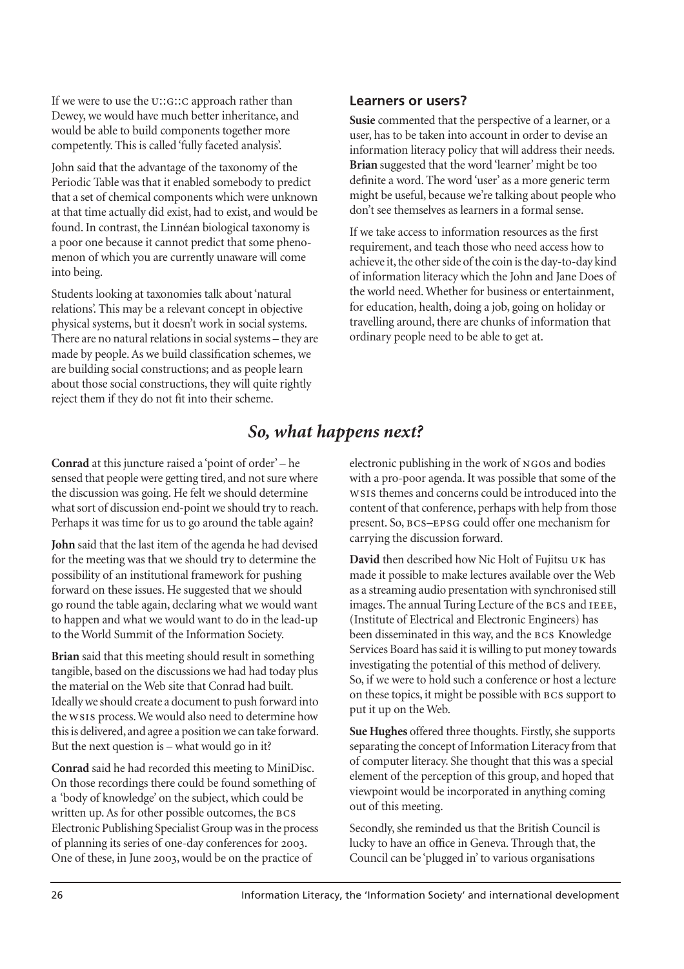If we were to use the U::G:: C approach rather than Dewey, we would have much better inheritance, and would be able to build components together more competently. This is called 'fully faceted analysis'.

John said that the advantage of the taxonomy of the Periodic Table was that it enabled somebody to predict that a set of chemical components which were unknown at that time actually did exist, had to exist, and would be found. In contrast, the Linnéan biological taxonomy is a poor one because it cannot predict that some phenomenon of which you are currently unaware will come into being.

Students looking at taxonomies talk about 'natural relations'. This may be a relevant concept in objective physical systems, but it doesn't work in social systems. There are no natural relations in social systems – they are made by people. As we build classification schemes, we are building social constructions; and as people learn about those social constructions, they will quite rightly reject them if they do not fit into their scheme.

#### **Learners or users?**

**Susie** commented that the perspective of a learner, or a user, has to be taken into account in order to devise an information literacy policy that will address their needs. **Brian** suggested that the word 'learner' might be too definite a word. The word 'user' as a more generic term might be useful, because we're talking about people who don't see themselves as learners in a formal sense.

If we take access to information resources as the first requirement, and teach those who need access how to achieve it, the other side of the coin is the day-to-day kind of information literacy which the John and Jane Does of the world need. Whether for business or entertainment, for education, health, doing a job, going on holiday or travelling around, there are chunks of information that ordinary people need to be able to get at.

# *So, what happens next?*

**Conrad** at this juncture raised a 'point of order' – he sensed that people were getting tired, and not sure where the discussion was going. He felt we should determine what sort of discussion end-point we should try to reach. Perhaps it was time for us to go around the table again?

**John** said that the last item of the agenda he had devised for the meeting was that we should try to determine the possibility of an institutional framework for pushing forward on these issues. He suggested that we should go round the table again, declaring what we would want to happen and what we would want to do in the lead-up to the World Summit of the Information Society.

**Brian** said that this meeting should result in something tangible, based on the discussions we had had today plus the material on the Web site that Conrad had built. Ideally we should create a document to push forward into the WSIS process. We would also need to determine how this is delivered, and agree a position we can take forward. But the next question is – what would go in it?

**Conrad** said he had recorded this meeting to MiniDisc. On those recordings there could be found something of a 'body of knowledge' on the subject, which could be written up. As for other possible outcomes, the BCS Electronic Publishing Specialist Group was in the process of planning its series of one-day conferences for 2003. One of these, in June 2003, would be on the practice of

electronic publishing in the work of NGOs and bodies with a pro-poor agenda. It was possible that some of the ws1s themes and concerns could be introduced into the content of that conference, perhaps with help from those present. So, BCS-EPSG could offer one mechanism for carrying the discussion forward.

**David** then described how Nic Holt of Fujitsu UK has made it possible to make lectures available over the Web as a streaming audio presentation with synchronised still images. The annual Turing Lecture of the BCS and IEEE, (Institute of Electrical and Electronic Engineers) has been disseminated in this way, and the BCS Knowledge Services Board has said it is willing to put money towards investigating the potential of this method of delivery. So, if we were to hold such a conference or host a lecture on these topics, it might be possible with BCS support to put it up on the Web.

**Sue Hughes** offered three thoughts. Firstly, she supports separating the concept of Information Literacy from that of computer literacy. She thought that this was a special element of the perception of this group, and hoped that viewpoint would be incorporated in anything coming out of this meeting.

Secondly, she reminded us that the British Council is lucky to have an office in Geneva. Through that, the Council can be 'plugged in' to various organisations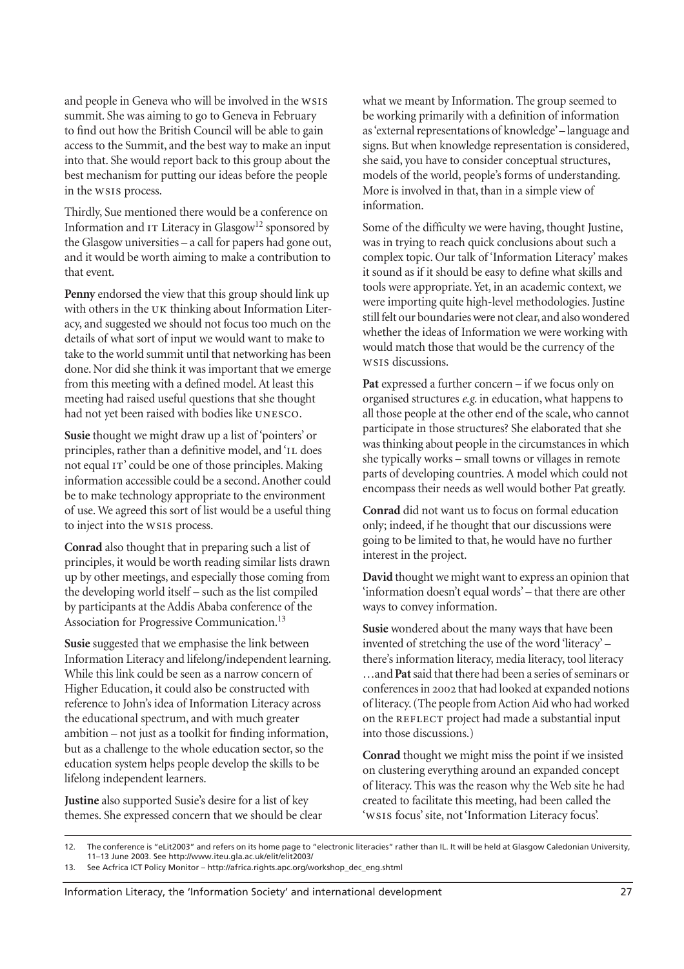and people in Geneva who will be involved in the summit. She was aiming to go to Geneva in February to find out how the British Council will be able to gain access to the Summit, and the best way to make an input into that. She would report back to this group about the best mechanism for putting our ideas before the people in the **WSIS** process.

Thirdly, Sue mentioned there would be a conference on Information and  $IT$  Literacy in Glasgow<sup>12</sup> sponsored by the Glasgow universities – a call for papers had gone out, and it would be worth aiming to make a contribution to that event.

**Penny** endorsed the view that this group should link up with others in the UK thinking about Information Literacy, and suggested we should not focus too much on the details of what sort of input we would want to make to take to the world summit until that networking has been done. Nor did she think it was important that we emerge from this meeting with a defined model. At least this meeting had raised useful questions that she thought had not yet been raised with bodies like UNESCO.

**Susie** thought we might draw up a list of 'pointers' or principles, rather than a definitive model, and 'IL does not equal IT' could be one of those principles. Making information accessible could be a second. Another could be to make technology appropriate to the environment of use. We agreed this sort of list would be a useful thing to inject into the ws1s process.

**Conrad** also thought that in preparing such a list of principles, it would be worth reading similar lists drawn up by other meetings, and especially those coming from the developing world itself – such as the list compiled by participants at the Addis Ababa conference of the Association for Progressive Communication.13

**Susie** suggested that we emphasise the link between Information Literacy and lifelong/independent learning. While this link could be seen as a narrow concern of Higher Education, it could also be constructed with reference to John's idea of Information Literacy across the educational spectrum, and with much greater ambition – not just as a toolkit for finding information, but as a challenge to the whole education sector, so the education system helps people develop the skills to be lifelong independent learners.

**Justine** also supported Susie's desire for a list of key themes. She expressed concern that we should be clear what we meant by Information. The group seemed to be working primarily with a definition of information as 'external representations of knowledge' – language and signs. But when knowledge representation is considered, she said, you have to consider conceptual structures, models of the world, people's forms of understanding. More is involved in that, than in a simple view of information.

Some of the difficulty we were having, thought Justine, was in trying to reach quick conclusions about such a complex topic. Our talk of 'Information Literacy' makes it sound as if it should be easy to define what skills and tools were appropriate. Yet, in an academic context, we were importing quite high-level methodologies. Justine still felt our boundaries were not clear, and also wondered whether the ideas of Information we were working with would match those that would be the currency of the ws1s discussions.

**Pat** expressed a further concern – if we focus only on organised structures *e.g.* in education, what happens to all those people at the other end of the scale, who cannot participate in those structures? She elaborated that she was thinking about people in the circumstances in which she typically works – small towns or villages in remote parts of developing countries. A model which could not encompass their needs as well would bother Pat greatly.

**Conrad** did not want us to focus on formal education only; indeed, if he thought that our discussions were going to be limited to that, he would have no further interest in the project.

**David** thought we might want to express an opinion that 'information doesn't equal words' – that there are other ways to convey information.

**Susie** wondered about the many ways that have been invented of stretching the use of the word 'literacy' – there's information literacy, media literacy, tool literacy …and **Pat**said that there had been a series of seminars or conferences in 2002 that had looked at expanded notions of literacy. (The people from Action Aid who had worked on the REFLECT project had made a substantial input into those discussions.)

**Conrad** thought we might miss the point if we insisted on clustering everything around an expanded concept of literacy. This was the reason why the Web site he had created to facilitate this meeting, had been called the 'ws1s focus' site, not 'Information Literacy focus'.

<sup>12.</sup> The conference is "eLit2003" and refers on its home page to "electronic literacies" rather than IL. It will be held at Glasgow Caledonian University, 11–13 June 2003. See http://www.iteu.gla.ac.uk/elit/elit2003/

<sup>13.</sup> See Acfrica ICT Policy Monitor – http://africa.rights.apc.org/workshop\_dec\_eng.shtml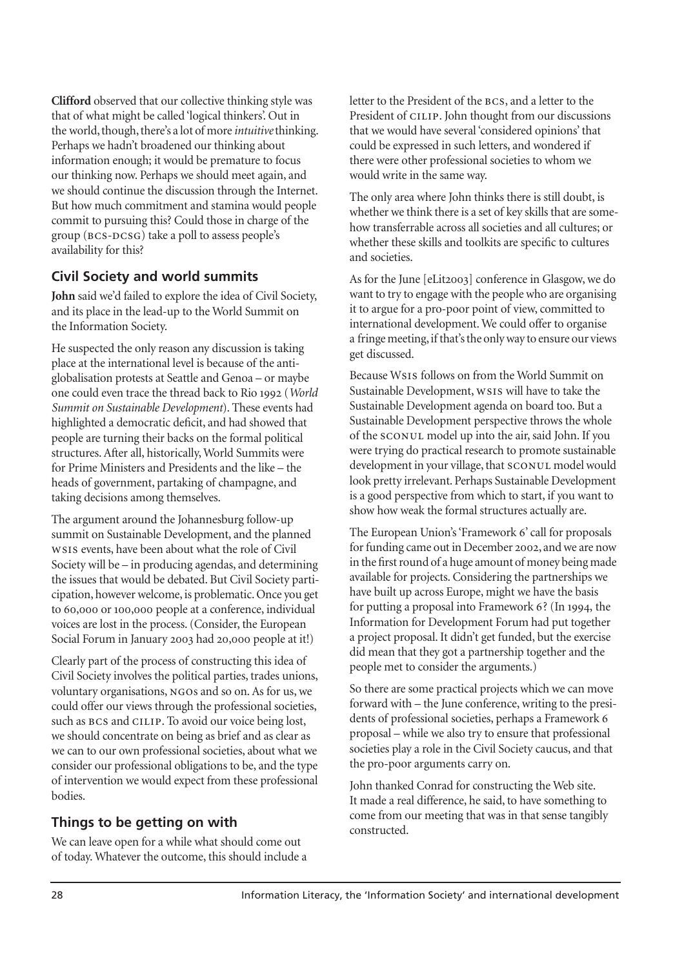**Clifford** observed that our collective thinking style was that of what might be called 'logical thinkers'. Out in the world, though, there's a lot of more *intuitive*thinking. Perhaps we hadn't broadened our thinking about information enough; it would be premature to focus our thinking now. Perhaps we should meet again, and we should continue the discussion through the Internet. But how much commitment and stamina would people commit to pursuing this? Could those in charge of the group (BCS-DCSG) take a poll to assess people's availability for this?

# **Civil Society and world summits**

**John** said we'd failed to explore the idea of Civil Society, and its place in the lead-up to the World Summit on the Information Society.

He suspected the only reason any discussion is taking place at the international level is because of the antiglobalisation protests at Seattle and Genoa – or maybe one could even trace the thread back to Rio 1992 (*World Summit on Sustainable Development*). These events had highlighted a democratic deficit, and had showed that people are turning their backs on the formal political structures. After all, historically, World Summits were for Prime Ministers and Presidents and the like – the heads of government, partaking of champagne, and taking decisions among themselves.

The argument around the Johannesburg follow-up summit on Sustainable Development, and the planned ws1s events, have been about what the role of Civil Society will be – in producing agendas, and determining the issues that would be debated. But Civil Society participation, however welcome, is problematic. Once you get to 60,000 or 100,000 people at a conference, individual voices are lost in the process. (Consider, the European Social Forum in January 2003 had 20,000 people at it!)

Clearly part of the process of constructing this idea of Civil Society involves the political parties, trades unions, voluntary organisations, NGOs and so on. As for us, we could offer our views through the professional societies, such as BCS and CILIP. To avoid our voice being lost, we should concentrate on being as brief and as clear as we can to our own professional societies, about what we consider our professional obligations to be, and the type of intervention we would expect from these professional bodies.

# **Things to be getting on with**

We can leave open for a while what should come out of today. Whatever the outcome, this should include a letter to the President of the BCS, and a letter to the President of CILIP. John thought from our discussions that we would have several 'considered opinions' that could be expressed in such letters, and wondered if there were other professional societies to whom we would write in the same way.

The only area where John thinks there is still doubt, is whether we think there is a set of key skills that are somehow transferrable across all societies and all cultures; or whether these skills and toolkits are specific to cultures and societies.

As for the June [eLit2003] conference in Glasgow, we do want to try to engage with the people who are organising it to argue for a pro-poor point of view, committed to international development. We could offer to organise a fringe meeting, if that's the only way to ensure our views get discussed.

Because W<sub>SIS</sub> follows on from the World Summit on Sustainable Development, ws1s will have to take the Sustainable Development agenda on board too. But a Sustainable Development perspective throws the whole of the SCONUL model up into the air, said John. If you were trying do practical research to promote sustainable development in your village, that SCONUL model would look pretty irrelevant. Perhaps Sustainable Development is a good perspective from which to start, if you want to show how weak the formal structures actually are.

The European Union's 'Framework 6' call for proposals for funding came out in December 2002, and we are now in the first round of a huge amount of money being made available for projects. Considering the partnerships we have built up across Europe, might we have the basis for putting a proposal into Framework  $6$ ? (In 1994, the Information for Development Forum had put together a project proposal. It didn't get funded, but the exercise did mean that they got a partnership together and the people met to consider the arguments.)

So there are some practical projects which we can move forward with – the June conference, writing to the presidents of professional societies, perhaps a Framework proposal – while we also try to ensure that professional societies play a role in the Civil Society caucus, and that the pro-poor arguments carry on.

John thanked Conrad for constructing the Web site. It made a real difference, he said, to have something to come from our meeting that was in that sense tangibly constructed.